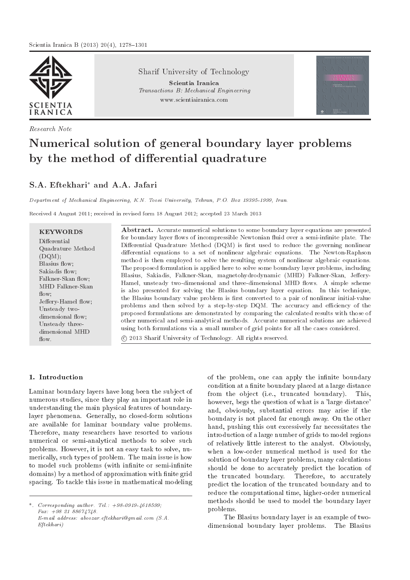

Research Note

Sharif University of Technology

Scientia Iranica Transactions B: Mechanical Engineering www.scientiairanica.com

# Numerical solution of general boundary layer problems by the method of differential quadrature

## S.A. Eftekhari<sup>\*</sup> and A.A. Jafari

Department of Mechanical Engineering, K.N. Toosi University, Tehran, P.O. Box 19395-1999, Iran.

Received 4 August 2011; received in revised form 18 August 2012; accepted 23 March 2013

KEYWORDS Differential Quadrature Method  $(DQM);$ Blasius flow; Sakiadis flow: Falkner-Skan flow; MHD Falkner-Skan flow; Jeffery-Hamel flow; Unsteady twodimensional flow; Unsteady threedimensional MHD flow

Abstract. Accurate numerical solutions to some boundary layer equations are presented for boundary layer flows of incompressible Newtonian fluid over a semi-infinite plate. The Differential Quadrature Method (DQM) is first used to reduce the governing nonlinear differential equations to a set of nonlinear algebraic equations. The Newton-Raphson method is then employed to solve the resulting system of nonlinear algebraic equations. The proposed formulation is applied here to solve some boundary layer problems, including Blasius, Sakiadis, Falkner-Skan, magnetohydrodynamic (MHD) Falkner-Skan, Jeffery-Hamel, unsteady two-dimensional and three-dimensional MHD flows. A simple scheme is also presented for solving the Blasius boundary layer equation. In this technique, the Blasius boundary value problem is first converted to a pair of nonlinear initial-value problems and then solved by a step-by-step DQM. The accuracy and efficiency of the proposed formulations are demonstrated by comparing the calculated results with those of other numerical and semi-analytical methods. Accurate numerical solutions are achieved using both formulations via a small number of grid points for all the cases considered. c 2013 Sharif University of Technology. All rights reserved.

### 1. Introduction

Laminar boundary layers have long been the subject of numerous studies, since they play an important role in understanding the main physical features of boundarylayer phenomena. Generally, no closed-form solutions are available for laminar boundary value problems. Therefore, many researchers have resorted to various numerical or semi-analytical methods to solve such problems. However, it is not an easy task to solve, numerically, such types of problem. The main issue is how to model such problems (with infinite or semi-infinite domains) by a method of approximation with finite grid spacing. To tackle this issue in mathematical modeling

\*. Corresponding author. Tel.: +98-0919-4618599;  $Fax: +982188674748.$ E-mail address: aboozar.eftekhari@gmail.com (S.A. Eftekhari)

of the problem, one can apply the infinite boundary condition at a finite boundary placed at a large distance from the object (i.e., truncated boundary). This, however, begs the question of what is a 'large distance' and, obviously, substantial errors may arise if the boundary is not placed far enough away. On the other hand, pushing this out excessively far necessitates the introduction of a large number of grids to model regions of relatively little interest to the analyst. Obviously, when a low-order numerical method is used for the solution of boundary layer problems, many calculations should be done to accurately predict the location of the truncated boundary. Therefore, to accurately predict the location of the truncated boundary and to reduce the computational time, higher-order numerical methods should be used to model the boundary layer problems.

The Blasius boundary layer is an example of twodimensional boundary layer problems. The Blasius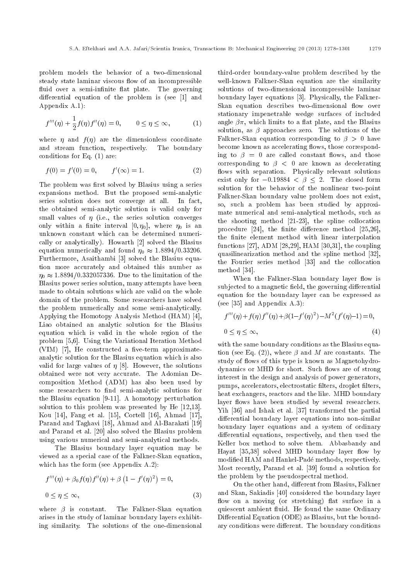problem models the behavior of a two-dimensional steady state laminar viscous flow of an incompressible fluid over a semi-infinite flat plate. The governing differential equation of the problem is (see [1] and Appendix A.1):

$$
f'''(\eta) + \frac{1}{2}f(\eta)f''(\eta) = 0, \qquad 0 \le \eta \le \infty,
$$
 (1)

where  $\eta$  and  $f(\eta)$  are the dimensionless coordinate and stream function, respectively. The boundary conditions for Eq. (1) are:

$$
f(0) = f'(0) = 0, \qquad f'(\infty) = 1.
$$
 (2)

The problem was first solved by Blasius using a series expansions method. But the proposed semi-analytic series solution does not converge at all. In fact, the obtained semi-analytic solution is valid only for small values of  $\eta$  (i.e., the series solution converges only within a finite interval  $[0, \eta_0]$ , where  $\eta_0$  is an unknown constant which can be determined numerically or analytically). Howarth [2] solved the Blasius equation numerically and found  $\eta_0 \approx 1.8894/0.33206$ . Furthermore, Asaithambi [3] solved the Blasius equation more accurately and obtained this number as  $\eta_0 \approx 1.8894/0.332057336$ . Due to the limitation of the Blasius power series solution, many attempts have been made to obtain solutions which are valid on the whole domain of the problem. Some researchers have solved the problem numerically and some semi-analytically. Applying the Homotopy Analysis Method (HAM) [4], Liao obtained an analytic solution for the Blasius equation which is valid in the whole region of the problem [5,6]. Using the Variational Iteration Method  $(VIM)$  [7], He constructed a five-term approximateanalytic solution for the Blasius equation which is also valid for large values of  $\eta$  [8]. However, the solutions obtained were not very accurate. The Adomian Decomposition Method (ADM) has also been used by some researchers to find semi-analytic solutions for the Blasius equation [9-11]. A homotopy perturbation solution to this problem was presented by He [12,13]. Kou [14], Fang et al. [15], Cortell [16], Ahmad [17], Parand and Taghavi [18], Ahmad and Al-Barakati [19] and Parand et al. [20] also solved the Blasius problem using various numerical and semi-analytical methods.

The Blasius boundary layer equation may be viewed as a special case of the Falkner-Skan equation, which has the form (see Appendix A.2):

$$
f'''(\eta) + \beta_0 f(\eta) f''(\eta) + \beta \left(1 - f'(\eta)^2\right) = 0,
$$
  

$$
0 \le \eta \le \infty,
$$
 (3)

where  $\beta$  is constant. The Falkner-Skan equation arises in the study of laminar boundary layers exhibiting similarity. The solutions of the one-dimensional third-order boundary-value problem described by the well-known Falkner-Skan equation are the similarity solutions of two-dimensional incompressible laminar boundary layer equations [3]. Physically, the Falkner-Skan equation describes two-dimensional flow over stationary impenetrable wedge surfaces of included angle  $\beta \pi$ , which limits to a flat plate, and the Blasius solution, as  $\beta$  approaches zero. The solutions of the Falkner-Skan equation corresponding to  $\beta > 0$  have become known as accelerating flows, those corresponding to  $\beta = 0$  are called constant flows, and those corresponding to  $\beta$  < 0 are known as decelerating flows with separation. Physically relevant solutions exist only for  $-0.19884 < \beta < 2$ . The closed form solution for the behavior of the nonlinear two-point Falkner-Skan boundary value problem does not exist, so, such a problem has been studied by approximate numerical and semi-analytical methods, such as the shooting method [21-23], the spline collocation procedure  $[24]$ , the finite difference method  $[25,26]$ , the finite element method with linear interpolation functions [27], ADM [28,29], HAM [30,31], the coupling quasilinearization method and the spline method [32], the Fourier series method [33] and the collocation method [34].

When the Falkner-Skan boundary layer flow is subjected to a magnetic field, the governing differential equation for the boundary layer can be expressed as (see [35] and Appendix A.3):

$$
f'''(\eta) + f(\eta)f''(\eta) + \beta(1 - f'(\eta)^2) - M^2(f'(\eta) - 1) = 0,
$$
  
 
$$
0 \le \eta \le \infty,
$$
 (4)

with the same boundary conditions as the Blasius equation (see Eq. (2)), where  $\beta$  and M are constants. The study of flows of this type is known as Magnetohydrodynamics or MHD for short. Such flows are of strong interest in the design and analysis of power generators, pumps, accelerators, electrostatic filters, droplet filters, heat exchangers, reactors and the like. MHD boundary layer flows have been studied by several researchers. Yih [36] and Ishak et al. [37] transformed the partial differential boundary layer equations into non-similar boundary layer equations and a system of ordinary differential equations, respectively, and then used the Keller box method to solve them. Abbasbandy and Hayat  $[35,38]$  solved MHD boundary layer flow by modied HAM and Hankel-Pade methods, respectively. Most recently, Parand et al. [39] found a solution for the problem by the pseudospectral method.

On the other hand, different from Blasius, Falkner and Skan, Sakiadis [40] considered the boundary layer flow on a moving (or stretching) flat surface in a quiescent ambient fluid. He found the same Ordinary Differential Equation (ODE) as Blasius, but the boundary conditions were different. The boundary conditions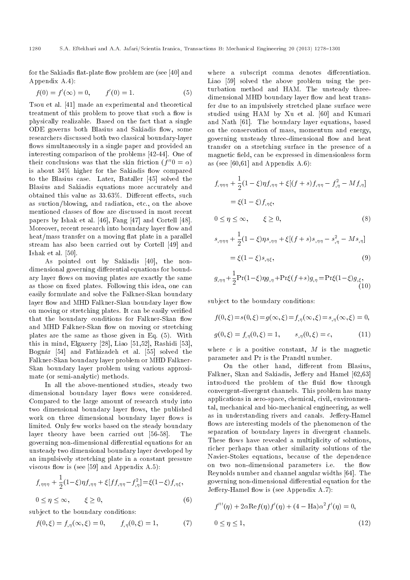for the Sakiadis flat-plate flow problem are (see [40] and Appendix A.4):

$$
f(0) = f'(\infty) = 0, \qquad f'(0) = 1.
$$
 (5)

Tsou et al. [41] made an experimental and theoretical treatment of this problem to prove that such a flow is physically realizable. Based on the fact that a single ODE governs both Blasius and Sakiadis flow, some researchers discussed both two classical boundary-layer flows simultaneously in a single paper and provided an interesting comparison of the problems [42-44]. One of their conclusions was that the skin friction  $(f''0 = \alpha)$ is about  $34\%$  higher for the Sakiadis flow compared to the Blasius case. Later, Bataller [45] solved the Blasius and Sakiadis equations more accurately and obtained this value as  $33.63\%$ . Different effects, such as suction/blowing, and radiation, etc., on the above mentioned classes of flow are discussed in most recent papers by Ishak et al. [46], Fang [47] and Cortell [48]. Moreover, recent research into boundary layer flow and heat/mass transfer on a moving flat plate in a parallel stream has also been carried out by Cortell [49] and Ishak et al. [50].

As pointed out by Sakiadis [40], the nondimensional governing differential equations for boundary layer flows on moving plates are exactly the same as those on fixed plates. Following this idea, one can easily formulate and solve the Falkner-Skan boundary layer flow and MHD Falkner-Skan boundary layer flow on moving or stretching plates. It can be easily veried that the boundary conditions for Falkner-Skan flow and MHD Falkner-Skan flow on moving or stretching plates are the same as those given in Eq. (5). With this in mind, Elgazery [28], Liao [51,52], Rashidi [53], Bognar [54] and Fathizadeh et al. [55] solved the Falkner-Skan boundary layer problem or MHD Falkner-Skan boundary layer problem using various approximate (or semi-analytic) methods.

In all the above-mentioned studies, steady two dimensional boundary layer flows were considered. Compared to the large amount of research study into two dimensional boundary layer flows, the published work on three dimensional boundary layer flows is limited. Only few works based on the steady boundary layer theory have been carried out [56-58]. The governing non-dimensional differential equations for an unsteady two dimensional boundary layer developed by an impulsively stretching plate in a constant pressure viscous flow is (see [59] and Appendix  $(A.5)$ :

$$
f_{,\eta\eta\eta} + \frac{1}{2}(1-\xi)\eta f_{,\eta\eta} + \xi[f_{,\eta\eta} - f_{,\eta}^2] = \xi(1-\xi)f_{,\eta\xi},
$$
  
 
$$
0 \le \eta \le \infty, \qquad \xi \ge 0,
$$
 (6)

subject to the boundary conditions:

$$
f(0,\xi) = f_{,\eta}(\infty,\xi) = 0, \qquad f_{,\eta}(0,\xi) = 1,\tag{7}
$$

where a subscript comma denotes differentiation. Liao [59] solved the above problem using the perturbation method and HAM. The unsteady threedimensional MHD boundary layer flow and heat transfer due to an impulsively stretched plane surface were studied using HAM by Xu et al. [60] and Kumari and Nath [61]. The boundary layer equations, based on the conservation of mass, momentum and energy, governing unsteady three-dimensional flow and heat transfer on a stretching surface in the presence of a magnetic field, can be expressed in dimensionless form as (see [60,61] and Appendix  $A.6$ ):

$$
f_{,\eta\eta\eta} + \frac{1}{2}(1 - \xi)\eta f_{,\eta\eta} + \xi[(f + s)f_{,\eta\eta} - f_{,\eta}^2 - Mf_{,\eta}]
$$
  
=  $\xi(1 - \xi)f_{,\eta\xi}$ ,  
 $0 \le \eta \le \infty$ ,  $\xi \ge 0$ , (8)

$$
s_{,\eta\eta\eta} + \frac{1}{2}(1 - \xi)\eta s_{,\eta\eta} + \xi[(f + s)s_{,\eta\eta} - s_{,\eta}^2 - Ms_{,\eta}]
$$
  
=  $\xi(1 - \xi)s_{,\eta\xi}$ , (9)

$$
g_{,\eta\eta} + \frac{1}{2} \Pr(1-\xi)\eta g_{,\eta} + \Pr\xi(f+s)g_{,\eta} = \Pr\xi(1-\xi)g_{,\xi},
$$
\n(10)

subject to the boundary conditions:

$$
f(0, \xi) = s(0, \xi) = g(\infty, \xi) = f_{,\eta}(\infty, \xi) = s_{,\eta}(\infty, \xi) = 0,
$$
  

$$
g(0, \xi) = f_{,\eta}(0, \xi) = 1, \qquad s_{,\eta}(0, \xi) = c,
$$
 (11)

where  $c$  is a positive constant,  $M$  is the magnetic parameter and Pr is the Prandtl number.

On the other hand, different from Blasius, Falkner, Skan and Sakiadis, Jeffery and Hamel [62,63] introduced the problem of the fluid flow through convergent-divergent channels. This problem has many applications in aero-space, chemical, civil, environmental, mechanical and bio-mechanical engineering, as well as in understanding rivers and canals. Jeffery-Hamel flows are interesting models of the phenomenon of the separation of boundary layers in divergent channels. These flows have revealed a multiplicity of solutions, richer perhaps than other similarity solutions of the Navier-Stokes equations, because of the dependence on two non-dimensional parameters i.e. the flow Reynolds number and channel angular widths [64]. The governing non-dimensional differential equation for the Jeffery-Hamel flow is (see Appendix  $A.7$ ):

$$
f'''(\eta) + 2\alpha \text{Re} f(\eta) f'(\eta) + (4 - \text{Ha})\alpha^2 f'(\eta) = 0,
$$
  

$$
0 \le \eta \le 1,
$$
 (12)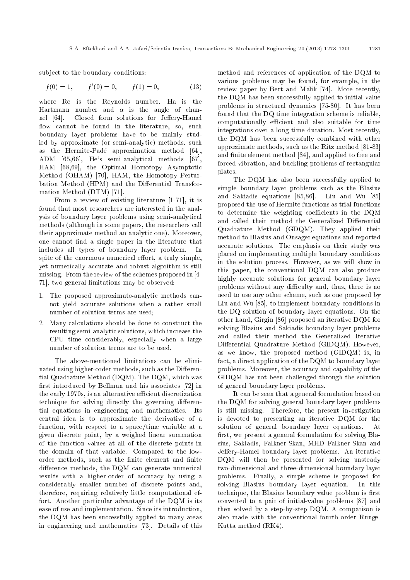subject to the boundary conditions:

$$
f(0) = 1, \t f'(0) = 0, \t f(1) = 0,
$$
\t(13)

where Re is the Reynolds number, Ha is the Hartmann number and  $\alpha$  is the angle of channel [64]. Closed form solutions for Jeffery-Hamel flow cannot be found in the literature, so, such boundary layer problems have to be mainly studied by approximate (or semi-analytic) methods, such as the Hermite-Pade approximation method [64], ADM [65,66], He's semi-analytical methods [67], HAM [68,69], the Optimal Homotopy Asymptotic Method (OHAM) [70], HAM, the Homotopy Perturbation Method (HPM) and the Differential Transformation Method (DTM) [71].

From a review of existing literature [1-71], it is found that most researchers are interested in the analysis of boundary layer problems using semi-analytical methods (although in some papers, the researchers call their approximate method an analytic one). Moreover, one cannot find a single paper in the literature that includes all types of boundary layer problem. In spite of the enormous numerical effort, a truly simple, yet numerically accurate and robust algorithm is still missing. From the review of the schemes proposed in [4- 71], two general limitations may be observed:

- 1. The proposed approximate-analytic methods cannot yield accurate solutions when a rather small number of solution terms are used;
- 2. Many calculations should be done to construct the resulting semi-analytic solutions, which increase the CPU time considerably, especially when a large number of solution terms are to be used.

The above-mentioned limitations can be eliminated using higher-order methods, such as the Differential Quadrature Method (DQM). The DQM, which was first introduced by Bellman and his associates [72] in the early 1970s, is an alternative efficient discretization technique for solving directly the governing differential equations in engineering and mathematics. Its central idea is to approximate the derivative of a function, with respect to a space/time variable at a given discrete point, by a weighed linear summation of the function values at all of the discrete points in the domain of that variable. Compared to the loworder methods, such as the finite element and finite difference methods, the DQM can generate numerical results with a higher-order of accuracy by using a considerably smaller number of discrete points and, therefore, requiring relatively little computational effort. Another particular advantage of the DQM is its ease of use and implementation. Since its introduction, the DQM has been successfully applied to many areas in engineering and mathematics [73]. Details of this method and references of application of the DQM to various problems may be found, for example, in the review paper by Bert and Malik [74]. More recently, the DQM has been successfully applied to initial-value problems in structural dynamics [75-80]. It has been found that the DQ time integration scheme is reliable, computationally efficient and also suitable for time integrations over a long time duration. Most recently, the DQM has been successfully combined with other approximate methods, such as the Ritz method [81-83] and finite element method [84], and applied to free and forced vibration, and buckling problems of rectangular plates.

The DQM has also been successfully applied to simple boundary layer problems such as the Blasius and Sakiadis equations [85,86]. Liu and Wu [85] proposed the use of Hermite functions as trial functions to determine the weighting coefficients in the DQM and called their method the Generalized Differential Quadrature Method (GDQM). They applied their method to Blasius and Onsager equations and reported accurate solutions. The emphasis on their study was placed on implementing multiple boundary conditions in the solution process. However, as we will show in this paper, the conventional DQM can also produce highly accurate solutions for general boundary layer problems without any difficulty and, thus, there is no need to use any other scheme, such as one proposed by Liu and Wu [85], to implement boundary conditions in the DQ solution of boundary layer equations. On the other hand, Girgin [86] proposed an iterative DQM for solving Blasius and Sakiadis boundary layer problems and called their method the Generalized Iterative Differential Quadrature Method (GIDQM). However, as we know, the proposed method (GIDQM) is, in fact, a direct application of the DQM to boundary layer problems. Moreover, the accuracy and capability of the GIDQM has not been challenged through the solution of general boundary layer problems.

It can be seen that a general formulation based on the DQM for solving general boundary layer problems is still missing. Therefore, the present investigation is devoted to presenting an iterative DQM for the solution of general boundary layer equations. At first, we present a general formulation for solving Blasius, Sakiadis, Falkner-Skan, MHD Falkner-Skan and Jeffery-Hamel boundary layer problems. An iterative DQM will then be presented for solving unsteady two-dimensional and three-dimensional boundary layer problems. Finally, a simple scheme is proposed for solving Blasius boundary layer equation. In this technique, the Blasius boundary value problem is first converted to a pair of initial-value problems [87] and then solved by a step-by-step DQM. A comparison is also made with the conventional fourth-order Runge-Kutta method (RK4).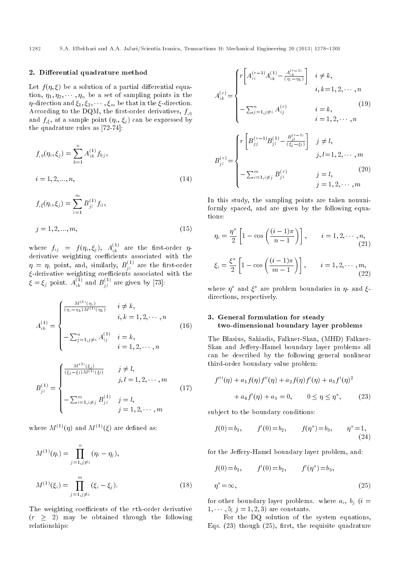## 2. Differential quadrature method

Let  $f(\eta, \xi)$  be a solution of a partial differential equation,  $\eta_1, \eta_2, \cdots, \eta_n$  be a set of sampling points in the  $\eta$ -direction and  $\xi_1, \xi_2, \cdots, \xi_m$  be that in the  $\xi$ -direction. According to the DQM, the first-order derivatives,  $f_{n}$ and  $f_{,\xi}$ , at a sample point  $(\eta_i, \, \xi_j)$  can be expressed by the quadrature rules as [72-74]:

$$
f_{,\eta}(\eta_i, \xi_j) = \sum_{k=1}^n A_{ik}^{(1)} f_{kj},
$$
  
\n
$$
i = 1, 2, ..., n,
$$
\n
$$
m
$$
\n(14)

$$
f_{,\xi}(\eta_i, \xi_j) = \sum_{l=1}^{m} B_{jl}^{(1)} f_{il},
$$
  

$$
j = 1, 2, ..., m,
$$
 (15)

where  $f_{ij}$  =  $f(\eta_i, \xi_j)$ ,  $A^{(1)}_{ik}$  are the first-order  $\eta$ derivative weighting coefficients associated with the  $\eta \ = \ \eta_i$  point, and, similarly,  $B^{(1)}_{jl}$  are the first-order  $\xi$ -derivative weighting coefficients associated with the  $\xi = \xi_j$  point.  $A_{ik}^{(1)}$  and  $B_{jl}^{(1)}$  are given by [73]:

$$
A_{ik}^{(1)} = \begin{cases} \frac{M^{(1)}(\eta_i)}{(\eta_i - \eta_k)M^{(1)}(\eta_k)} & i \neq k, \\ \quad i, k = 1, 2, \cdots, n \\ -\sum_{j=1, j \neq i}^n A_{ij}^{(1)} & i = k, \\ \quad i = 1, 2, \cdots, n \end{cases} \tag{16}
$$

$$
B_{jl}^{(1)} = \begin{cases} \frac{M^{(1)}(\xi_j)}{(\xi_j - \xi_l) M^{(1)}(\xi_l)} & j \neq l, \\ j, l = 1, 2, \cdots, m \\ -\sum_{i=1, i \neq j}^{m} B_{ji}^{(1)} & j = l, \\ j = 1, 2, \cdots, m \end{cases}
$$
(17)

where  $M^{(1)}(\eta)$  and  $M^{(1)}(\xi)$  are defined as:

$$
M^{(1)}(\eta_i) = \prod_{j=1, j \neq i}^{n} (\eta_i - \eta_j),
$$
  

$$
M^{(1)}(\xi_i) = \prod_{j=1, j \neq i}^{m} (\xi_i - \xi_j).
$$
 (18)

The weighting coefficients of the rth-order derivative  $(r \geq 2)$  may be obtained through the following relationships:

$$
A_{ik}^{(r)} = \begin{cases} r \left[ A_{ii}^{(r-1)} A_{ik}^{(1)} - \frac{A_{ik}^{(r-1)}}{(\eta_i - \eta_k)} \right] & i \neq k, \\ & i, k = 1, 2, \cdots, n \\ -\sum_{j=1, j \neq i}^n A_{ij}^{(r)} & i = k, \\ & i = 1, 2, \cdots, n \end{cases} \tag{19}
$$
\n
$$
B_{jl}^{(r)} = \begin{cases} r \left[ B_{jj}^{(r-1)} B_{jl}^{(1)} - \frac{B_{jl}^{(r-1)}}{(\xi_j - \xi_l)} \right] & j \neq l, \\ & j, l = 1, 2, \cdots, m \\ -\sum_{i=1, i \neq j}^m B_{ji}^{(r)} & j = l, \\ & j = 1, 2, \cdots, m \end{cases} \tag{20}
$$

In this study, the sampling points are taken nonuniformly spaced, and are given by the following equations:

$$
\eta_i = \frac{\eta^*}{2} \left[ 1 - \cos\left(\frac{(i-1)\pi}{n-1}\right) \right], \qquad i = 1, 2, \cdots, n,
$$
\n
$$
\xi_i = \frac{\xi^*}{2} \left[ 1 - \cos\left(\frac{(i-1)\pi}{m-1}\right) \right], \qquad i = 1, 2, \cdots, m,
$$
\n(22)

where  $\eta^*$  and  $\xi^*$  are problem boundaries in  $\eta$ - and  $\xi$ directions, respectively.

## 3. General formulation for steady two-dimensional boundary layer problems

The Blasius, Sakiadis, Falkner-Skan, (MHD) Falkner-Skan and Jeffery-Hamel boundary layer problems all can be described by the following general nonlinear third-order boundary value problem:

$$
f'''(\eta) + a_1 f(\eta) f''(\eta) + a_2 f(\eta) f'(\eta) + a_3 f'(\eta)^2
$$
  
+ 
$$
a_4 f'(\eta) + a_5 = 0, \qquad 0 \le \eta \le \eta^*, \qquad (23)
$$

subject to the boundary conditions:

$$
f(0) = b_1,
$$
  $f'(0) = b_2,$   $f(\eta^*) = b_3,$   $\eta^* = 1,$  (24)

for the Jeffery-Hamel boundary layer problem, and:

$$
f(0) = b_1,
$$
  $f'(0) = b_2,$   $f'(\eta^*) = b_3,$ 

$$
\eta^* = \infty,\tag{25}
$$

for other boundary layer problems. where  $a_i, b_j$  (i =  $1, \dots, 5; j = 1, 2, 3$  are constants.

For the DQ solution of the system equations, Eqs.  $(23)$  though  $(25)$ , first, the requisite quadrature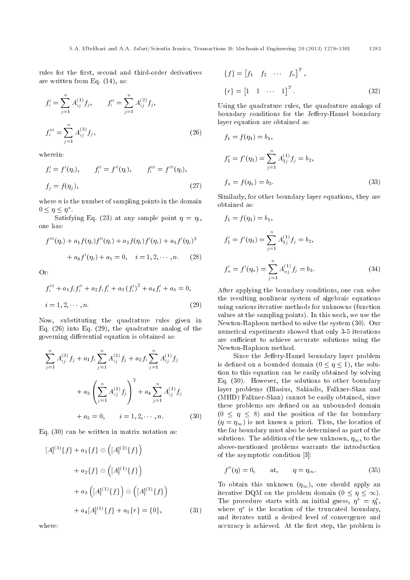rules for the first, second and third-order derivatives are written from Eq. (14), as:

$$
f'_{i} = \sum_{j=1}^{n} A_{ij}^{(1)} f_{j}, \qquad f''_{i} = \sum_{j=1}^{n} A_{ij}^{(2)} f_{j},
$$

$$
f''_{i} = \sum_{j=1}^{n} A_{ij}^{(3)} f_{j}, \qquad (26)
$$

wherein:

$$
f'_{i} = f'(\eta_{i}), \qquad f''_{i} = f''(\eta_{i}), \qquad f'''_{i} = f'''(\eta_{i}),
$$
  

$$
f_{j} = f(\eta_{j}), \qquad (27)
$$

where  $n$  is the number of sampling points in the domain  $0 \leq \eta \leq \eta^*$ .

Satisfying Eq. (23) at any sample point  $\eta = \eta_i$ , one has:

$$
f'''(\eta_i) + a_1 f(\eta_i) f''(\eta_i) + a_2 f(\eta_i) f'(\eta_i) + a_3 f'(\eta_i)^2
$$
  
+ 
$$
a_4 f'(\eta_i) + a_5 = 0, \quad i = 1, 2, \cdots, n. \tag{28}
$$

Or:

$$
f_i''' + a_1 f_i f_i'' + a_2 f_i f_i' + a_3 (f_i')^2 + a_4 f_i' + a_5 = 0,
$$
  
\n
$$
i = 1, 2, \cdots, n.
$$
\n(29)

Now, substituting the quadrature rules given in Eq. (26) into Eq. (29), the quadrature analog of the governing differential equation is obtained as:

$$
\sum_{j=1}^{n} A_{ij}^{(3)} f_j + a_1 f_i \sum_{j=1}^{n} A_{ij}^{(2)} f_j + a_2 f_i \sum_{j=1}^{n} A_{ij}^{(1)} f_j
$$
  
+ 
$$
a_3 \left( \sum_{j=1}^{n} A_{ij}^{(1)} f_j \right)^2 + a_4 \sum_{j=1}^{n} A_{ij}^{(1)} f_j
$$
  
+ 
$$
a_5 = 0, \qquad i = 1, 2, \cdots, n. \qquad (30)
$$

Eq. (30) can be written in matrix notation as:

$$
[A]^{(3)}\{f\} + a_1\{f\} \otimes ([A]^{(2)}\{f\})
$$
  
+  $a_2\{f\} \otimes ([A]^{(1)}\{f\})$   
+  $a_3 ([A]^{(1)}\{f\}) \otimes ([A]^{(1)}\{f\})$   
+  $a_4[A]^{(1)}\{f\} + a_5\{r\} = \{0\},$  (31)

where:

$$
\{f\} = [f_1 \quad f_2 \quad \cdots \quad f_n]^T, \n\{r\} = [1 \quad 1 \quad \cdots \quad 1]^T.
$$
\n(32)

Using the quadrature rules, the quadrature analogs of boundary conditions for the Jeffery-Hamel boundary layer equation are obtained as:

$$
f_1 = f(\eta_1) = b_1,
$$
  
\n
$$
f'_1 = f'(\eta_1) = \sum_{j=1}^n A_{1j}^{(1)} f_j = b_2,
$$
  
\n
$$
f_n = f(\eta_n) = b_3.
$$
\n(33)

Similarly, for other boundary layer equations, they are obtained as:

$$
f_1 = f(\eta_1) = b_1,
$$
  
\n
$$
f'_1 = f'(\eta_1) = \sum_{j=1}^n A_{1j}^{(1)} f_j = b_2,
$$
  
\n
$$
f'_n = f'(\eta_n) = \sum_{j=1}^n A_{nj}^{(1)} f_j = b_3.
$$
\n(34)

After applying the boundary conditions, one can solve the resulting nonlinear system of algebraic equations using various iterative methods for unknowns (function values at the sampling points). In this work, we use the Newton-Raphson method to solve the system (30). Our numerical experiments showed that only 3-5 iterations are sufficient to achieve accurate solutions using the Newton-Raphson method.

Since the Jeffery-Hamel boundary layer problem is defined on a bounded domain  $(0 \leq \eta \leq 1)$ , the solution to this equation can be easily obtained by solving Eq. (30). However, the solutions to other boundary layer problems (Blasius, Sakiadis, Falkner-Skan and (MHD) Falkner-Skan) cannot be easily obtained, since these problems are defined on an unbounded domain  $(0 \leq \eta \leq 8)$  and the position of the far boundary  $(\eta = \eta_{\infty})$  is not known a priori. Thus, the location of the far boundary must also be determined as part of the solutions. The addition of the new unknown,  $\eta_{\infty}$ , to the above-mentioned problems warrants the introduction of the asymptotic condition [3]:

$$
f''(\eta) = 0, \qquad \text{at}, \qquad \eta = \eta_{\infty}.
$$
 (35)

To obtain this unknown  $(\eta_{\infty})$ , one should apply an iterative DQM on the problem domain  $(0 \leq \eta \leq \infty)$ . The procedure starts with an initial guess,  $\eta^* = \eta_1^*$ , where  $\eta^*$  is the location of the truncated boundary, and iterates until a desired level of convergence and accuracy is achieved. At the first step, the problem is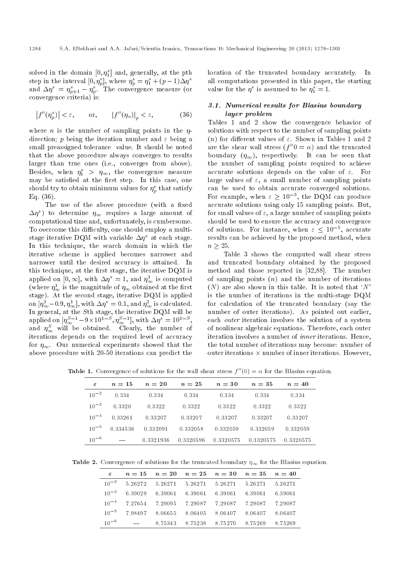solved in the domain  $[0, \eta_1^*]$  and, generally, at the pth step in the interval  $[0, \eta_p^*],$  where  $\eta_p^* = \eta_1^* + (p-1)\Delta\eta^*$ and  $\Delta\eta^* = \eta^*_{p+1} - \eta^*_p$ . The convergence measure (or convergence criteria) is:

$$
\left|f''(\eta_p^*)\right| < \varepsilon, \qquad \text{or}, \qquad \left|f''(\eta_n)\right|_p < \varepsilon, \tag{36}
$$

where *n* is the number of sampling points in the  $\eta$ direction; p being the iteration number and  $\varepsilon$  being a small preassigned tolerance value. It should be noted that the above procedure always converges to results larger than true ones (i.e., converges from above). Besides, when  $\eta_1^*$  >  $\eta_{\infty}$ , the convergence measure may be satisfied at the first step. In this case, one should try to obtain minimum values for  $\eta_p^*$  that satisfy Eq. (36).

The use of the above procedure (with a fixed  $(\Delta \eta^*)$  to determine  $\eta_{\infty}$  requires a large amount of computational time and, unfortunately, is cumbersome. To overcome this difficulty, one should employ a multistage iterative DQM with variable  $\Delta \eta^*$  at each stage. In this technique, the search domain in which the iterative scheme is applied becomes narrower and narrower until the desired accuracy is attained. In this technique, at the first stage, the iterative DQM is applied on  $[0, \infty]$ , with  $\Delta \eta^* = 1$ , and  $\eta^1_{\infty}$  is computed (where  $\eta^1_{\infty}$  is the magnitude of  $\eta_{\infty}$  obtained at the first stage). At the second stage, iterative DQM is applied on  $[\eta^1_{\infty} - 0.9, \eta^1_{\infty}],$  with  $\Delta \eta^* = 0.1$ , and  $\eta^2_{\infty}$  is calculated. In general, at the  $S\th$  stage, the iterative  $\rm{DQM}$  will be applied on  $[\eta_{\infty}^{S-1} - 9 \times 10^{1-S}, \eta_{\infty}^{S-1}]$ , with  $\Delta \eta^* = 10^{1-S}$ , and  $\eta_{\infty}^{S}$  will be obtained. Clearly, the number of iterations depends on the required level of accuracy for  $\eta_{\infty}$ . Our numerical experiments showed that the above procedure with 20-50 iterations can predict the location of the truncated boundary accurately. In all computations presented in this paper, the starting value for the  $\eta^*$  is assumed to be  $\eta_1^* = 1$ .

#### 3.1. Numerical results for Blasius boundary layer problem

Tables 1 and 2 show the convergence behavior of solutions with respect to the number of sampling points (n) for different values of  $\varepsilon$ . Shown in Tables 1 and 2 are the shear wall stress  $(f''0 = \alpha)$  and the truncated boundary  $(\eta_{\infty})$ , respectively. It can be seen that the number of sampling points required to achieve accurate solutions depends on the value of  $\varepsilon$ . For large values of  $\varepsilon$ , a small number of sampling points can be used to obtain accurate converged solutions. For example, when  $\varepsilon \geq 10^{-3}$ , the DQM can produce accurate solutions using only 15 sampling points. But, for small values of  $\varepsilon$ , a large number of sampling points should be used to ensure the accuracy and convergence of solutions. For instance, when  $\varepsilon \leq 10^{-5}$ , accurate results can be achieved by the proposed method, when  $n > 25$ .

Table 3 shows the computed wall shear stress and truncated boundary obtained by the proposed method and those reported in [32,88]. The number of sampling points  $(n)$  and the number of iterations  $(N)$  are also shown in this table. It is noted that 'N' is the number of iterations in the multi-stage DQM for calculation of the truncated boundary (say the number of outer iterations). As pointed out earlier, each outer iteration involves the solution of a system of nonlinear algebraic equations. Therefore, each outer iteration involves a number of inner iterations. Hence, the total number of iterations may become: number of outer iterations  $\times$  number of inner iterations. However,

**Table 1.** Convergence of solutions for the wall shear stress  $f''(0) = \alpha$  for the Blasius equation.

| ε         | $n=15$   | $n=20$    | $n=25$    | $n=30$    | $n=35$    | $n=40$    |
|-----------|----------|-----------|-----------|-----------|-----------|-----------|
| $10^{-2}$ | 0.334    | 0.334     | 0.334     | 0.334     | 0.334     | 0.334     |
| $10^{-3}$ | 0.3320   | 0.3322    | 0.3322    | 0.3322    | 0.3322    | 0.3322    |
| $10^{-4}$ | 0.33261  | 0.33207   | 0.33207   | 0.33207   | 0.33207   | 0.33207   |
| $10^{-5}$ | 0.334536 | 0.332091  | 0.332058  | 0.332059  | 0.332059  | 0.332059  |
| $10^{-6}$ |          | 0.3321936 | 0.3320596 | 0.3320575 | 0.3320575 | 0.3320575 |

**Table 2.** Convergence of solutions for the truncated boundary  $\eta_{\infty}$  for the Blasius equation.

| $\varepsilon$ | $n = 15$ $n = 20$ $n = 25$ $n = 30$ $n = 35$ $n = 40$     |  |                                         |  |
|---------------|-----------------------------------------------------------|--|-----------------------------------------|--|
|               | $10^{-2}$ 5.26272 5.26271 5.26271 5.26271 5.26271 5.26271 |  |                                         |  |
|               | $10^{-3}$ 6.39029 6.39061 6.39061 6.39061 6.39061 6.39061 |  |                                         |  |
|               | $10^{-4}$ 7.27654 7.29095 7.29087 7.29087 7.29087 7.29087 |  |                                         |  |
|               | $10^{-5}$ 7.98497 8.06655 8.06405 8.06407 8.06407 8.06407 |  |                                         |  |
|               | $10^{-6}$ $-$                                             |  | 8.75343 8.75238 8.75270 8.75269 8.75269 |  |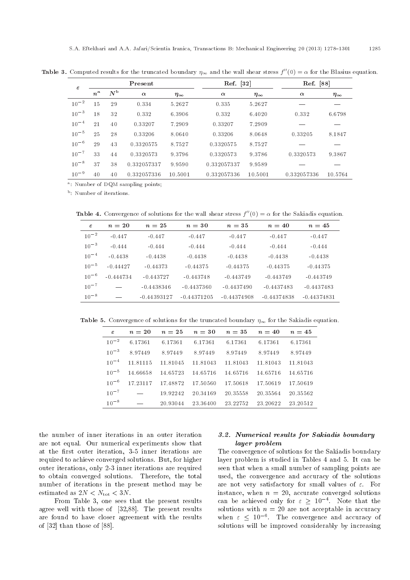| $\varepsilon$ | Present          |             |             |                 | Ref. [32]   |                 | Ref. [88]   |                 |  |
|---------------|------------------|-------------|-------------|-----------------|-------------|-----------------|-------------|-----------------|--|
|               | $n^{\mathrm{a}}$ | $N^{\rm b}$ | $\alpha$    | $\eta_{\infty}$ | $\alpha$    | $\eta_{\infty}$ | $\alpha$    | $\eta_{\infty}$ |  |
| $10^{-2}$     | 15               | 29          | 0.334       | 5.2627          | 0.335       | 5.2627          |             |                 |  |
| $10^{-3}$     | 18               | 32          | 0.332       | 6.3906          | 0.332       | 6.4020          | 0.332       | 6.6798          |  |
| $10^{-4}$     | 21               | 40          | 0.33207     | 7.2909          | 0.33207     | 7.2909          |             |                 |  |
| $10^{-5}$     | 25               | 28          | 0.33206     | 8.0640          | 0.33206     | 8.0648          | 0.33205     | 8.1847          |  |
| $10^{-6}$     | 29               | 43          | 0.3320575   | 8.7527          | 0.3320575   | 8.7527          |             |                 |  |
| $10^{-7}$     | 33               | 44          | 0.3320573   | 9.3796          | 0.3320573   | 9.3786          | 0.3320573   | 9.3867          |  |
| $10^{-8}$     | 37               | 38          | 0.332057337 | 9.9590          | 0.332057337 | 9.9589          |             |                 |  |
| $10^{-9}$     | 40               | 40          | 0.332057336 | 10.5001         | 0.332057336 | 10.5001         | 0.332057336 | 10.5764         |  |

**Table 3.** Computed results for the truncated boundary  $\eta_{\infty}$  and the wall shear stress  $f''(0) = \alpha$  for the Blasius equation.

<sup>a</sup>: Number of DQM sampling points;

<sup>b</sup>: Number of iterations.

**Table 4.** Convergence of solutions for the wall shear stress  $f''(0) = \alpha$  for the Sakiadis equation.

| $\varepsilon$ | $n=20$      | $n=25$        | $n=30$        | $n=35$        | $n = 40$      | $n=45$        |
|---------------|-------------|---------------|---------------|---------------|---------------|---------------|
| $10^{-2}$     | $-0.447$    | $-0.447$      | $-0.447$      | $-0.447$      | $-0.447$      | $-0.447$      |
| $10^{-3}$     | $-0.444$    | $-0.444$      | $-0.444$      | $-0.444$      | $-0.444$      | $-0.444$      |
| $10^{-4}$     | $-0.4438$   | $-0.4438$     | $-0.4438$     | $-0.4438$     | $-0.4438$     | $-0.4438$     |
| $10^{-5}$     | $-0.44427$  | $-0.44373$    | $-0.44375$    | $-0.44375$    | $-0.44375$    | $-0.44375$    |
| $10^{-6}$     | $-0.444734$ | $-0.443727$   | $-0.443748$   | $-0.443749$   | $-0.443749$   | $-0.443749$   |
| $10^{-7}$     |             | $-0.4438346$  | $-0.4437360$  | $-0.4437490$  | $-0.4437483$  | $-0.4437483$  |
| $10^{-8}$     |             | $-0.44393127$ | $-0.44371205$ | $-0.44374908$ | $-0.44374838$ | $-0.44374831$ |

**Table 5.** Convergence of solutions for the truncated boundary  $\eta_{\infty}$  for the Sakiadis equation.

| $\varepsilon$ | $n = 20$ | $n = 25$ | $n=30$   | $n=35$   | $n = 40$ | $n=45$   |
|---------------|----------|----------|----------|----------|----------|----------|
| $10^{-2}$     | 6.17361  | 6.17361  | 6.17361  | 6.17361  | 6.17361  | 6.17361  |
| $10^{-3}$     | 8.97449  | 8.97449  | 8.97449  | 8.97449  | 8.97449  | 8.97449  |
| $10^{-4}$     | 11 81115 | 11.81045 | 11 81043 | 11 81043 | 11 81043 | 11.81043 |
| $10^{-5}$     | 14.66658 | 14 65723 | 14 65716 | 14 65716 | 14 65716 | 14.65716 |
| $10^{-6}$     | 17 23117 | 1748872  | 17.50560 | 1750618  | 1750619  | 17.50619 |
| $10^{-7}$     |          | 19 92242 | 20.34169 | 20.35558 | 20.35564 | 20.35562 |
| $10^{-8}$     |          | 20.93044 | 23 36400 | 23 22752 | 23 20622 | 23.20512 |

the number of inner iterations in an outer iteration are not equal. Our numerical experiments show that at the first outer iteration, 3-5 inner iterations are required to achieve converged solutions. But, for higher outer iterations, only 2-3 inner iterations are required to obtain converged solutions. Therefore, the total number of iterations in the present method may be estimated as  $2N < N_{\text{tot}} < 3N$ .

From Table 3, one sees that the present results agree well with those of [32,88]. The present results are found to have closer agreement with the results of [32] than those of [88].

## 3.2. Numerical results for Sakiadis boundary layer problem

The convergence of solutions for the Sakiadis boundary layer problem is studied in Tables 4 and 5. It can be seen that when a small number of sampling points are used, the convergence and accuracy of the solutions are not very satisfactory for small values of  $\varepsilon$ . For instance, when  $n = 20$ , accurate converged solutions can be achieved only for  $\varepsilon \geq 10^{-4}$ . Note that the solutions with  $n = 20$  are not acceptable in accuracy when  $\varepsilon \leq 10^{-6}$ . The convergence and accuracy of solutions will be improved considerably by increasing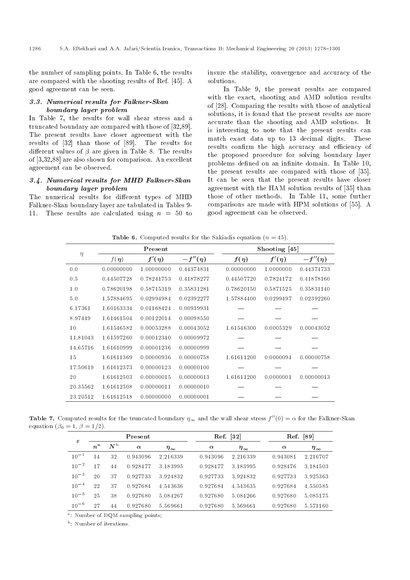the number of sampling points. In Table 6, the results are compared with the shooting results of Ref. [45]. A good agreement can be seen.

## 3.3. Numerical results for Falkner-Skan boundary layer problem

In Table 7, the results for wall shear stress and a truncated boundary are compared with those of [32,89]. The present results have closer agreement with the results of [32] than those of [89]. The results for different values of  $\beta$  are given in Table 8. The results of [3,32,88] are also shown for comparison. An excellent agreement can be observed.

## 3.4. Numerical results for MHD Falkner-Skan boundary layer problem

The numerical results for different types of MHD Falkner-Skan boundary layer are tabulated in Tables 9- 11. These results are calculated using  $n = 50$  to insure the stability, convergence and accuracy of the solutions.

In Table 9, the present results are compared with the exact, shooting and AMD solution results of [28]. Comparing the results with those of analytical solutions, it is found that the present results are more accurate than the shooting and AMD solutions. It is interesting to note that the present results can match exact data up to 13 decimal digits. These results confirm the high accuracy and efficiency of the proposed procedure for solving boundary layer problems defined on an infinite domain. In Table 10, the present results are compared with those of [35]. It can be seen that the present results have closer agreement with the HAM solution results of [35] than those of other methods. In Table 11, some further comparisons are made with HPM solutions of [55]. A good agreement can be observed.

**Table 6.** Computed results for the Sakiadis equation  $(n = 45)$ .

| $\eta$   |                        | Present    |              |            | Shooting $[45]$ |              |
|----------|------------------------|------------|--------------|------------|-----------------|--------------|
|          | $f(\boldsymbol{\eta})$ | $f'(\eta)$ | $-f''(\eta)$ | $f(\eta)$  | $f'(\eta)$      | $-f''(\eta)$ |
| 0.0      | 0.00000000             | 1.00000000 | 0.44374831   | 0.00000000 | 1.0000000       | 0.44374733   |
| 0.5      | 0.44507728             | 0.78241753 | 0.41878277   | 0.44507720 | 0.7824172       | 0.41878160   |
| 1.0      | 0.78620198             | 0.58715319 | 0.35831281   | 0.78620150 | 0.5871525       | 0.35831140   |
| 5.0      | 1.57884695             | 0.02994984 | 0.02392277   | 1.57884400 | 0.0299497       | 0.02392260   |
| 6.17361  | 1.60163334             | 0.01168424 | 0.00939931   |            |                 |              |
| 8.97449  | 1.61461504             | 0.00122014 | 0.00098550   |            |                 |              |
| 10       | 1.61546582             | 0.00053288 | 0.00043052   | 1.61546300 | 0.0005329       | 0.00043052   |
| 11.81043 | 1.61597260             | 0.00012340 | 0.00009972   |            |                 |              |
| 14.65716 | 1.61610999             | 0.00001236 | 0.00000999   |            |                 |              |
| 15       | 1.61611369             | 0.00000936 | 0.00000758   | 1.61611200 | 0.0000094       | 0.00000758   |
| 17.50619 | 1.61612373             | 0.00000123 | 0.00000100   |            |                 |              |
| 20       | 1.61612503             | 0.00000015 | 0.00000013   | 1.61611200 | 0.0000001       | 0.00000013   |
| 20.35562 | 1.61612508             | 0.00000011 | 0.00000010   |            |                 |              |
| 23.20512 | 1.61612518             | 0.00000000 | 0.00000001   |            |                 |              |

**Table 7.** Computed results for the truncated boundary  $\eta_{\infty}$  and the wall shear stress  $f''(0) = \alpha$  for the Falkner-Skan equation ( $\beta_0 = 1, \beta = 1/2$ ).

| $\epsilon$ |             |             | Present  |                 |          | Ref. [32]       |  |          | $\left\lceil 89\right\rceil$<br>Ref. |  |
|------------|-------------|-------------|----------|-----------------|----------|-----------------|--|----------|--------------------------------------|--|
|            | $n^{\rm a}$ | $N^{\rm b}$ | $\alpha$ | $\eta_{\infty}$ | $\alpha$ | $\eta_{\infty}$ |  | $\alpha$ | $\eta_{\infty}$                      |  |
| $10^{-1}$  | 14          | 32          | 0.943096 | 2.216339        | 0.943096 | 2.216339        |  | 0.943081 | 2.216707                             |  |
| $10^{-2}$  | 17          | 44          | 0.928477 | 3.183995        | 0.928477 | 3.183995        |  | 0.928476 | 3.184503                             |  |
| $10^{-3}$  | 20          | 37          | 0.927733 | 3.924832        | 0.927733 | 3924832         |  | 0.927733 | 3.925363                             |  |
| $10^{-4}$  | 22          | 37          | 0.927684 | 4.543636        | 0.927684 | 4.543635        |  | 0.927684 | 4.550585                             |  |
| $10^{-5}$  | 25          | 38          | 0.927680 | 5.084267        | 0.927680 | 5 084266        |  | 0.927680 | 5.085175                             |  |
| $10^{-6}$  | 27          | 44          | 0.927680 | 5.569661        | 0.927680 | 5.569661        |  | 0.927680 | 5.571160                             |  |

<sup>a</sup>: Number of DQM sampling points;

<sup>b</sup>: Number of iterations.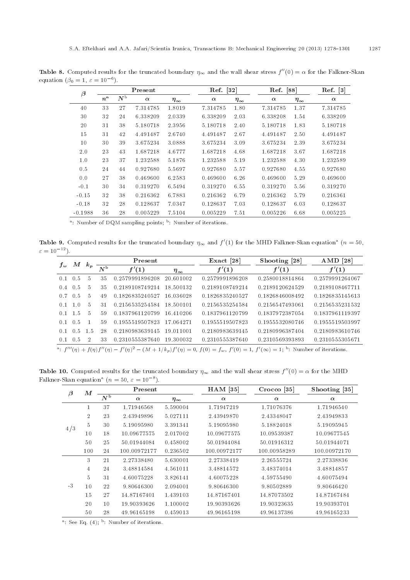| $\beta$   | Present          |             |          | Ref. [32]       |          | Ref. [88]       |          | Ref. [3]        |          |
|-----------|------------------|-------------|----------|-----------------|----------|-----------------|----------|-----------------|----------|
|           | $n^{\mathrm{a}}$ | $N^{\rm b}$ | $\alpha$ | $\eta_{\infty}$ | $\alpha$ | $\eta_{\infty}$ | $\alpha$ | $\eta_{\infty}$ | $\alpha$ |
| 40        | 33               | 27          | 7.314785 | 1.8019          | 7.314785 | 1.80            | 7.314785 | 1.37            | 7.314785 |
| 30        | 32               | 24          | 6.338209 | 2.0339          | 6.338209 | 2.03            | 6.338208 | 1.54            | 6.338209 |
| 20        | 31               | 38          | 5.180718 | 2.3956          | 5.180718 | 2.40            | 5.180718 | 1.83            | 5.180718 |
| 15        | 31               | 42          | 4.491487 | 2.6740          | 4.491487 | 2.67            | 4.491487 | 2.50            | 4.491487 |
| 10        | 30               | 39          | 3.675234 | 3.0888          | 3.675234 | 3.09            | 3.675234 | 2.39            | 3.675234 |
| 2.0       | 23               | 43          | 1.687218 | 4.6777          | 1.687218 | 4.68            | 1.687218 | 3.67            | 1.687218 |
| 1.0       | 23               | 37          | 1.232588 | 5.1876          | 1.232588 | 5.19            | 1.232588 | 4.30            | 1.232589 |
| 0.5       | 24               | 44          | 0.927680 | 5.5697          | 0.927680 | 5.57            | 0.927680 | 4.55            | 0.927680 |
| 0.0       | 27               | 38          | 0.469600 | 6.2583          | 0.469600 | 6.26            | 0.469600 | 5.29            | 0.469600 |
| $-0.1$    | 30               | 34          | 0.319270 | 6.5494          | 0.319270 | 6.55            | 0.319270 | 5.56            | 0.319270 |
| $-0.15$   | 32               | 38          | 0.216362 | 6.7883          | 0.216362 | 6.79            | 0.216362 | 5.79            | 0.216361 |
| $-0.18$   | 32               | 28          | 0.128637 | 7.0347          | 0.128637 | 7.03            | 0.128637 | 6.03            | 0.128637 |
| $-0.1988$ | 36               | 28          | 0.005229 | 7.5104          | 0.005229 | 7.51            | 0.005226 | 6.68            | 0.005225 |

**Table 8.** Computed results for the truncated boundary  $\eta_{\infty}$  and the wall shear stress  $f''(0) = \alpha$  for the Falkner-Skan equation  $(\beta_0 = 1, \varepsilon = 10^{-6})$ .

<sup>a</sup>: Number of DQM sampling points; <sup>b</sup>: Number of iterations.

**Table 9.** Computed results for the truncated boundary  $\eta_{\infty}$  and  $f'(1)$  for the MHD Falkner-Skan equation<sup>a</sup> ( $n = 50$ ,  $\varepsilon = 10^{-12}$ .

|                 | $\boldsymbol{M}$ |         |                | Present         |                 | Exact $[28]$                                                                                                                                       | Shooting [28]   | AMD $[28]$      |
|-----------------|------------------|---------|----------------|-----------------|-----------------|----------------------------------------------------------------------------------------------------------------------------------------------------|-----------------|-----------------|
| $f_w$           |                  | $k_{p}$ | N <sub>b</sub> | f'(1)           | $\eta_{\infty}$ | f'(1)                                                                                                                                              | f'(1)           | f'(1)           |
| $0.1 \quad 0.5$ |                  | 5       | 35             | 0.2579991896208 | 20.601002       | 0.2579991896208                                                                                                                                    | 0.2580018814864 | 0.2579991264067 |
| $0.4 \quad 0.5$ |                  | 5       | 35             | 0.2189108749214 | 18.500132       | 0.2189108749214                                                                                                                                    | 0.2189120624529 | 0.2189108467711 |
| $0.7 \quad 0.5$ |                  | 5       | 49             | 0.1826835240527 | 16.036028       | 0.1826835240527                                                                                                                                    | 0.1826846008492 | 0.1826835145613 |
| 0.1             | 1.0              | 5       | 31             | 0.2156535254584 | 18.500101       | 0.2156535254584                                                                                                                                    | 0.2156547493061 | 0.2156535231532 |
| $0.1 \quad 1.5$ |                  | 5       | 59             | 0.1837961120799 | 16.410206       | 0.1837961120799                                                                                                                                    | 0.1837972387054 | 0.1837961119397 |
| $0.1 \quad 0.5$ |                  |         | 59             | 0.1955519507823 | 17.064271       | 0.1955519507823                                                                                                                                    | 0.1955532080746 | 0.1955519503997 |
| 0.1             | $-0.5$           | -1.5    | 28             | 0.2180983639145 | 19.011001       | 0.2180983639145                                                                                                                                    | 0.2180996387404 | 0.2180983610746 |
| $0.1 \quad 0.5$ |                  | 2       | 33             | 0.2310555387640 | 19.300032       | 0.2310555387640                                                                                                                                    | 0.2310569393893 | 0.2310555305671 |
|                 |                  |         |                |                 |                 | a: $f'''(\eta) + f(\eta)f''(\eta) - f'(\eta)^2 - (M+1/k_p)f'(\eta) = 0$ , $f(0) = f_w$ , $f'(0) = 1$ , $f'(\infty) = 1$ ; b: Number of iterations. |                 |                 |

**Table 10.** Computed results for the truncated boundary  $\eta_{\infty}$  and the wall shear stress  $f''(0) = \alpha$  for the MHD Falkner-Skan equation<sup>a</sup>  $(n = 50, \varepsilon = 10^{-8}).$ 

| $\beta$ | $\bm{M}$       |                             | Present      |                 | $HAM$ [35]   | $Crocco$ [35] | Shooting [35] |
|---------|----------------|-----------------------------|--------------|-----------------|--------------|---------------|---------------|
|         |                | $\overline{N^{\mathrm{b}}}$ | $\alpha$     | $\eta_{\infty}$ | $\alpha$     | $\alpha$      | $\alpha$      |
|         | 1              | 37                          | 1.71946568   | 5.590004        | 1.71947219   | 1.71076376    | 1.71946540    |
|         | $\overline{2}$ | 23                          | 2.43949896   | 5.027111        | 2.43949870   | 2.43348047    | 2.43949833    |
| 4/3     | 5              | 30                          | 5.19095980   | 3.391341        | 5.19095980   | 5.18824018    | 5.19095945    |
|         | 10             | 18                          | 10.09677575  | 2.017002        | 10.09677575  | 10.09539387   | 10.09677545   |
|         | 50             | 25                          | 50.01944084  | 0.458002        | 50.01944084  | 50.01916312   | 50.01944071   |
|         | 100            | 24                          | 100.00972177 | 0.236502        | 100.00972177 | 100.00958289  | 100.00972170  |
|         | 3              | 21                          | 2.27338480   | 5.630001        | 2.27338419   | 2.26555724    | 2.27338836    |
|         | $\overline{4}$ | 24                          | 3.48814584   | 4.561011        | 3.48814572   | 3.48374014    | 3.48814857    |
|         | 5              | 31                          | 4.60075228   | 3.826141        | 4.60075228   | 4.59755490    | 4.60075494    |
| $-3$    | 10             | 22                          | 9.80646300   | 2.094001        | 9.80646300   | 9.80502889    | 9.80646420    |
|         | 15             | 27                          | 14.87167401  | 1.439103        | 14.87167401  | 14.87073502   | 14.87167484   |
|         | 20             | 10                          | 19.90393626  | 1.100002        | 19.90393626  | 19.90323635   | 19.90393701   |
|         | 50             | 28                          | 49.96165198  | 0.459013        | 49.96165198  | 49.96137386   | 49.96165233   |

<sup>a</sup>: See Eq.  $(4)$ ; <sup>b</sup>: Number of iterations.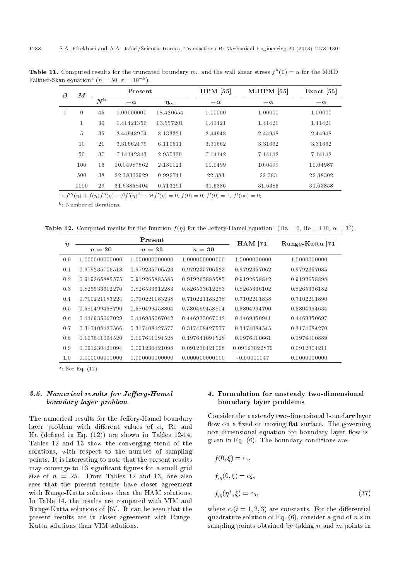| $\bm{M}$<br>$\beta$ |          |             | Present     |                 | $HPM$ [55] | $M$ -HPM [55] | $\text{Exact}$ [55] |
|---------------------|----------|-------------|-------------|-----------------|------------|---------------|---------------------|
|                     |          | $N^{\rm b}$ | $-\alpha$   | $\eta_{\infty}$ | $-\alpha$  | $-\alpha$     | $-\alpha$           |
|                     | $\theta$ | 45          | 1.00000000  | 18.420654       | 1.00000    | 1.00000       | 1.00000             |
|                     |          | 39          | 141421356   | 13.557201       | 1.41421    | 1.41421       | 1.41421             |
|                     | 5        | 35          | 2.44948974  | 8.133321        | 2.44948    | 2.44948       | 2.44948             |
|                     | 10       | 21          | 3.31662479  | 6.110511        | 3.31662    | 3.31662       | 3.31662             |
|                     | 50       | 37          | 7.14142843  | 2.950339        | 7.14142    | 7.14142       | 7.14142             |
|                     | 100      | 16          | 10.04987562 | 2.131021        | 10.0499    | 10.0499       | 10.04987            |
|                     | 500      | 38          | 22.38302929 | 0.992741        | 22.383     | 22.383        | 22.38302            |
|                     | 1000     | 29          | 31.63858404 | 0.713291        | 31.6386    | 31.6386       | 31.63858            |

**Table 11.** Computed results for the truncated boundary  $\eta_{\infty}$  and the wall shear stress  $f''(0) = \alpha$  for the MHD Falkner-Skan equation<sup>a</sup> ( $n = 50$ ,  $\varepsilon = 10^{-8}$ ).

a:  $f'''(\eta) + f(\eta)f''(\eta) - \beta f'(\eta)^2 - Mf'(\eta) = 0$ ,  $f(0) = 0$ ,  $f'(0) = 1$ ,  $f'(\infty) = 0$ ;

<sup>b</sup>: Number of iterations.

**Table 12.** Computed results for the function  $f(\eta)$  for the Jeffery-Hamel equation<sup>a</sup> (Ha = 0, Re = 110,  $\alpha = 3^{\circ}$ ).

|        |                | Present        |                | $HAM$ [71]    | Runge-Kutta [71] |
|--------|----------------|----------------|----------------|---------------|------------------|
| $\eta$ | $n=20$         | $n=25$         | $n=30$         |               |                  |
| 0.0    | 1.000000000000 | 1.000000000000 | 1.000000000000 | 1.0000000000  | 1.0000000000     |
| 0.1    | 0.979235706518 | 0.979235706523 | 0.979235706523 | 0.9792357062  | 0.9792357085     |
| 0.2    | 0.919265885575 | 0.919265885585 | 0.919265885585 | 0.9192658842  | 0.9192658898     |
| 0.3    | 0.826533612270 | 0.826533612283 | 0.826533612283 | 0.8265336102  | 0.8265336182     |
| 0.4    | 0.710221183224 | 0.710221183238 | 0.710221183238 | 0.7102211838  | 0.7102211890     |
| 0.5    | 0.580499458790 | 0.580499458804 | 0.580499458804 | 0.5804994700  | 0.5804994634     |
| 0.6    | 0.446935067029 | 0.446935067042 | 0.446935067042 | 0.4469350941  | 0.4469350697     |
| 0.7    | 0.317408427566 | 0.317408427577 | 0.317408427577 | 0.3174084545  | 0.3174084270     |
| 0.8    | 0.197641094520 | 0.197641094528 | 0.197641094528 | 0.1976410661  | 0.1976410889     |
| 0.9    | 0.091230421094 | 0.091230421098 | 0.091230421098 | 0.09123022879 | 0.0912304211     |
| 1.0    | 0.000000000000 | 0.000000000000 | 0.000000000000 | $-0.00000047$ | 0.0000000000     |

a : See Eq. (12)

### 3.5. Numerical results for Jeffery-Hamel boundary layer problem

The numerical results for the Jeffery-Hamel boundary layer problem with different values of  $\alpha$ . Re and Ha (defined in Eq.  $(12)$ ) are shown in Tables 12-14. Tables 12 and 13 show the converging trend of the solutions, with respect to the number of sampling points. It is interesting to note that the present results may converge to 13 significant figures for a small grid size of  $n = 25$ . From Tables 12 and 13, one also sees that the present results have closer agreement with Runge-Kutta solutions than the HAM solutions. In Table 14, the results are compared with VIM and Runge-Kutta solutions of [67]. It can be seen that the present results are in closer agreement with Runge-Kutta solutions than VIM solutions.

### 4. Formulation for unsteady two-dimensional boundary layer problems

Consider the unsteady two-dimensional boundary layer flow on a fixed or moving flat surface. The governing non-dimensional equation for boundary layer flow is given in Eq. (6). The boundary conditions are:

$$
f(0,\xi) = c_1,
$$
  
\n
$$
f_{,\eta}(0,\xi) = c_2,
$$
  
\n
$$
f_{,\eta}(\eta^*,\xi) = c_3,
$$
\n(37)

where  $c_i(i = 1, 2, 3)$  are constants. For the differential quadrature solution of Eq. (6), consider a grid of  $n\times m$ sampling points obtained by taking  $n$  and  $m$  points in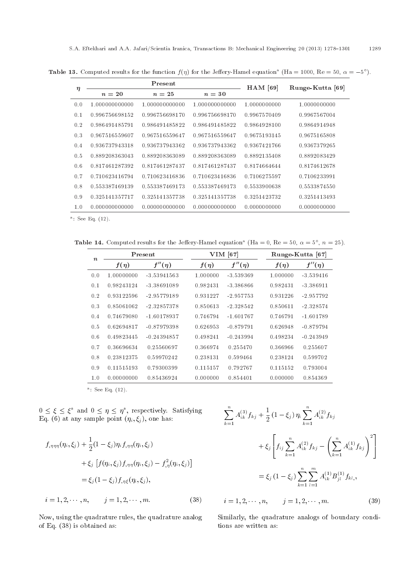| $\eta$ |                | Present        |                | $HAM$ [69]   | Runge-Kutta [69] |
|--------|----------------|----------------|----------------|--------------|------------------|
|        | $n=20$         | $n = 25$       | $n=30$         |              |                  |
| 0.0    | 1.000000000000 | 1.000000000000 | 1.000000000000 | 1.0000000000 | 1.0000000000     |
| 0.1    | 0.996756698152 | 0.996756698170 | 0.996756698170 | 0.9967570409 | 0.9967567004     |
| 0.2    | 0.986491485791 | 0.986491485822 | 0.986491485822 | 0.9864928100 | 0.9864914948     |
| 0.3    | 0.967516559607 | 0.967516559647 | 0.967516559647 | 0.9675193145 | 0.9675165808     |
| 0.4    | 0.936737943318 | 0.936737943362 | 0.936737943362 | 0.9367421766 | 0.9367379265     |
| 0.5    | 0.889208363043 | 0.889208363089 | 0.889208363089 | 0.8892135408 | 0.8892083429     |
| 0.6    | 0.817461287392 | 0.817461287437 | 0.817461287437 | 0.8174664644 | 0.8174612678     |
| 0.7    | 0.710623416794 | 0.710623416836 | 0.710623416836 | 0.7106275597 | 0.7106233991     |
| 0.8    | 0.553387469139 | 0.553387469173 | 0.553387469173 | 0.5533900638 | 0.5533874550     |
| 0.9    | 0.325141357717 | 0.325141357738 | 0.325141357738 | 0.3251423732 | 0.3251413493     |
| 1.0    | 0.000000000000 | 0.000000000000 | 0.000000000000 | 0.0000000000 | 0.0000000000     |

**Table 13.** Computed results for the function  $f(\eta)$  for the Jeffery-Hamel equation<sup>a</sup> (Ha = 1000, Re = 50,  $\alpha = -5^{\circ}$ ).

<sup>a</sup>: See Eq. (12).

**Table 14.** Computed results for the Jeffery-Hamel equation<sup>a</sup> (Ha = 0, Re = 50,  $\alpha = 5^{\circ}$ ,  $n = 25$ ).

| $\boldsymbol{n}$ |            | Present       |           | $VIM$ [67]  |           | Runge-Kutta [67] |  |  |
|------------------|------------|---------------|-----------|-------------|-----------|------------------|--|--|
|                  | $f(\eta)$  | $f''(\eta)$   | $f(\eta)$ | $f''(\eta)$ | $f(\eta)$ | $f''(\eta)$      |  |  |
| 0.0              | 1.00000000 | $-3.53941563$ | 1.000000  | $-3.539369$ | 1.000000  | $-3.539416$      |  |  |
| 0.1              | 0.98243124 | $-3.38691089$ | 0.982431  | $-3.386866$ | 0.982431  | $-3.386911$      |  |  |
| 0.2              | 0.93122596 | $-2.95779189$ | 0.931227  | $-2.957753$ | 0.931226  | $-2.957792$      |  |  |
| 0.3              | 0.85061062 | $-2.32857378$ | 0.850613  | $-2.328542$ | 0.850611  | $-2.328574$      |  |  |
| 0.4              | 0.74679080 | $-1.60178937$ | 0.746794  | $-1.601767$ | 0.746791  | $-1.601789$      |  |  |
| 0.5              | 0.62694817 | $-0.87979398$ | 0.626953  | $-0.879791$ | 0.626948  | $-0.879794$      |  |  |
| 0.6              | 0.49823445 | $-0.24394857$ | 0.498241  | $-0.243994$ | 0.498234  | $-0.243949$      |  |  |
| 0.7              | 0.36696634 | 0.25560697    | 0.366974  | 0.255470    | 0.366966  | 0.255607         |  |  |
| 0.8              | 0.23812375 | 0.59970242    | 0.238131  | 0.599464    | 0.238124  | 0.599702         |  |  |
| 0.9              | 0.11515193 | 0.79300399    | 0.115157  | 0.792767    | 0.115152  | 0.793004         |  |  |
| 1.0              | 0.00000000 | 0.85436924    | 0.000000  | 0.854401    | 0.000000  | 0.854369         |  |  |

 $a$ : See Eq.  $(12)$ .

 $0 \leq \xi \leq \xi^*$  and  $0 \leq \eta \leq \eta^*$ , respectively. Satisfying Eq. (6) at any sample point  $(\eta_i, \xi_j)$ , one has:

$$
f_{,\eta\eta\eta}(\eta_i, \xi_j) + \frac{1}{2} (1 - \xi_j) \eta_i f_{,\eta\eta}(\eta_i, \xi_j)
$$
  
+  $\xi_j [f(\eta_i, \xi_j) f_{,\eta\eta}(\eta_i, \xi_j) - f_{,\eta}^2(\eta_i, \xi_j)]$   
=  $\xi_j (1 - \xi_j) f_{,\eta\xi}(\eta_i, \xi_j),$   
 $i = 1, 2, \dots, n, \qquad j = 1, 2, \dots, m.$  (38)

Now, using the quadrature rules, the quadrature analog of Eq. (38) is obtained as:

$$
\sum_{k=1}^{n} A_{ik}^{(3)} f_{kj} + \frac{1}{2} (1 - \xi_j) \eta_i \sum_{k=1}^{n} A_{ik}^{(2)} f_{kj}
$$
  
+  $\xi_j \left[ f_{ij} \sum_{k=1}^{n} A_{ik}^{(2)} f_{kj} - \left( \sum_{k=1}^{n} A_{ik}^{(1)} f_{kj} \right)^2 \right]$   
=  $\xi_j (1 - \xi_j) \sum_{k=1}^{n} \sum_{l=1}^{m} A_{ik}^{(1)} B_{jl}^{(1)} f_{kl},$   
 $i = 1, 2, \dots, n, \qquad j = 1, 2, \dots, m.$  (39)

Similarly, the quadrature analogs of boundary conditions are written as: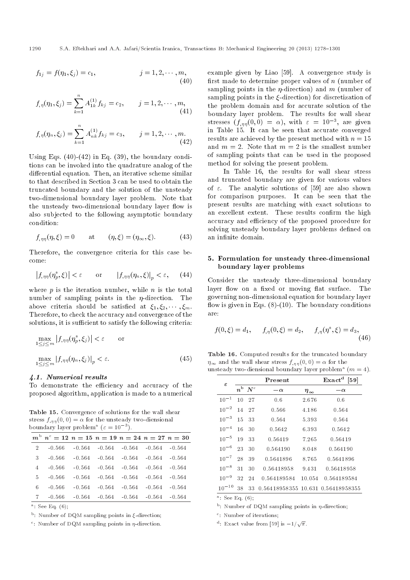$$
f_{1j} = f(\eta_1, \xi_j) = c_1, \qquad j = 1, 2, \cdots, m,
$$
\n(40)

$$
f_{,\eta}(\eta_1,\xi_j)=\sum_{k=1}^n A_{1k}^{(1)}f_{kj}=c_2, \qquad j=1,2,\cdots,m,\tag{41}
$$

$$
f_{,\eta}(\eta_n, \xi_j) = \sum_{k=1}^n A_{nk}^{(1)} f_{kj} = c_3, \qquad j = 1, 2, \cdots, m.
$$
\n(42)

Using Eqs.  $(40)-(42)$  in Eq.  $(39)$ , the boundary conditions can be invoked into the quadrature analog of the differential equation. Then, an iterative scheme similar to that described in Section 3 can be used to obtain the truncated boundary and the solution of the unsteady two-dimensional boundary layer problem. Note that the unsteady two-dimensional boundary layer flow is also subjected to the following asymptotic boundary condition:

$$
f_{,\eta\eta}(\eta,\xi) = 0 \qquad \text{at} \qquad (\eta,\xi) = (\eta_{\infty},\xi). \tag{43}
$$

Therefore, the convergence criteria for this case become:

$$
\left|f_{,\eta\eta}(\eta_p^*,\xi)\right| < \varepsilon \qquad \text{or} \qquad \left|f_{,\eta\eta}(\eta_n,\xi)\right|_p < \varepsilon,\qquad(44)
$$

where  $p$  is the iteration number, while  $n$  is the total number of sampling points in the  $\eta$ -direction. The above criteria should be satisfied at  $\xi_1, \xi_2, \cdots, \xi_m$ . Therefore, to check the accuracy and convergence of the solutions, it is sufficient to satisfy the following criteria:

$$
\max_{1 \le j \le m} |f_{,\eta\eta}(\eta_p^*, \xi_j)| < \varepsilon \qquad \text{or}
$$
\n
$$
\max_{1 \le j \le m} |f_{,\eta\eta}(\eta_n, \xi_j)|_p < \varepsilon. \tag{45}
$$

#### 4.1. Numerical results

To demonstrate the efficiency and accuracy of the proposed algorithm, application is made to a numerical

Table 15. Convergence of solutions for the wall shear stress  $f_{, \eta\eta}(0, 0) = \alpha$  for the unsteady two-diensional boundary layer problem<sup>a</sup> ( $\varepsilon = 10^{-3}$ ).

|   | $m^{b}$ $n^{c} = 12$ $n = 15$ $n = 19$ $n = 24$ $n = 27$ $n = 30$ |          |          |          |          |          |
|---|-------------------------------------------------------------------|----------|----------|----------|----------|----------|
| 2 | $-0.566$                                                          | $-0.564$ | $-0.564$ | $-0.564$ | $-0.564$ | $-0.564$ |
| 3 | $-0.566$                                                          | $-0.564$ | $-0.564$ | $-0.564$ | $-0.564$ | $-0.564$ |
| 4 | $-0.566$                                                          | $-0.564$ | $-0.564$ | $-0.564$ | $-0.564$ | $-0.564$ |
| 5 | $-0.566$                                                          | $-0.564$ | $-0.564$ | $-0.564$ | $-0.564$ | $-0.564$ |
| 6 | -0.566                                                            | $-0.564$ | $-0.564$ | $-0.564$ | $-0.564$ | $-0.564$ |
| 7 | -0.566                                                            | $-0.564$ | $-0.564$ | $-0.564$ | $-0.564$ | $-0.564$ |
|   |                                                                   |          |          |          |          |          |

 $a:$  See Eq.  $(6);$ 

 $b$ : Number of DQM sampling points in  $\xi$ -direction;

<sup>c</sup>: Number of DQM sampling points in  $\eta$ -direction.

example given by Liao [59]. A convergence study is first made to determine proper values of  $n$  (number of sampling points in the  $\eta$ -direction) and m (number of sampling points in the  $\xi$ -direction) for discretization of the problem domain and for accurate solution of the boundary layer problem. The results for wall shear stresses  $(f_{,\eta\eta}(0,0) = \alpha)$ , with  $\varepsilon = 10^{-3}$ , are given in Table 15. It can be seen that accurate converged results are achieved by the present method with  $n = 15$ and  $m = 2$ . Note that  $m = 2$  is the smallest number of sampling points that can be used in the proposed method for solving the present problem.

In Table 16, the results for wall shear stress and truncated boundary are given for various values of  $\varepsilon$ . The analytic solutions of [59] are also shown for comparison purposes. It can be seen that the present results are matching with exact solutions to an excellent extent. These results confirm the high accuracy and efficiency of the proposed procedure for solving unsteady boundary layer problems defined on an infinite domain.

## 5. Formulation for unsteady three-dimensional boundary layer problems

Consider the unsteady three-dimensional boundary layer flow on a fixed or moving flat surface. The governing non-dimensional equation for boundary layer flow is given in Eqs.  $(8)-(10)$ . The boundary conditions are:

$$
f(0,\xi) = d_1, \quad f_{,\eta}(0,\xi) = d_2, \quad f_{,\eta}(\eta^*,\xi) = d_3,
$$
\n(46)

Table 16. Computed results for the truncated boundary  $\eta_{\infty}$  and the wall shear stress  $f_{,\eta\eta}(0,0) = \alpha$  for the unsteady two-diensional boundary layer problem<sup>a</sup>  $(m = 4)$ .

| $\varepsilon$ |    |                         | Present                            |                 | $\text{Exact}^d$<br>$\left[59\right]$ |  |
|---------------|----|-------------------------|------------------------------------|-----------------|---------------------------------------|--|
|               |    | $n^{\rm b}$ $N^{\rm c}$ | $-\alpha$                          | $\eta_{\infty}$ | $-\alpha$                             |  |
| $10^{-1}$     |    | 10 27                   | 0.6                                | 2.676           | 0.6                                   |  |
| $10^{-2}$     |    | 14 27                   | 0.566                              | 4.186           | 0.564                                 |  |
| $10^{-3}$     | 15 | 33                      | 0.564                              | 5.393           | 0.564                                 |  |
| $10^{-4}$     | 16 | 30                      | 0.5642                             | 6.393           | 0.5642                                |  |
| $10^{-5}$     | 19 | 33                      | 0.56419                            | 7.265           | 0.56419                               |  |
| $10^{-6}$     | 23 | 30                      | 0.564190                           | 8.048           | 0.564190                              |  |
| $10^{-7}$     | 28 | 39                      | 0.5641896                          | 8.765           | 0.5641896                             |  |
| $10^{-8}$     | 31 | 30                      | 0.56418958                         | 9.431           | 0.56418958                            |  |
| $10^{-9}$     | 32 | 24                      | 0.564189584                        | 10.054          | 0.564189584                           |  |
| $10^{-10}$    | 38 | 33                      | 0.56418958355 10.631 0.56418958355 |                 |                                       |  |

a : See Eq. (6);

 $<sup>b</sup>$ : Number of DQM sampling points in  $\eta$ -direction;</sup>

<sup>c</sup>: Number of iterations;

<sup>d</sup>: Exact value from [59] is  $-1/\sqrt{\pi}$ .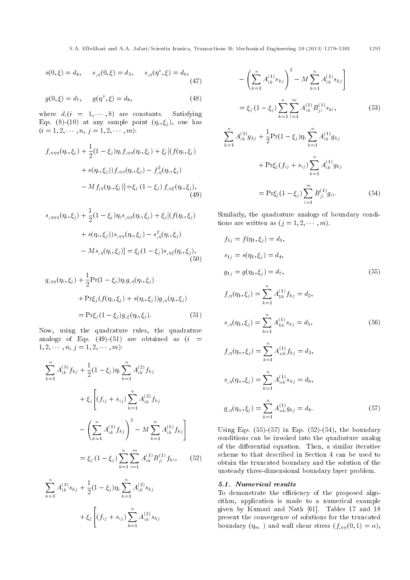$$
s(0,\xi) = d_4, \qquad s_{,\eta}(0,\xi) = d_5, \qquad s_{,\eta}(\eta^*,\xi) = d_6,
$$
\n(47)

$$
g(0,\xi) = d_7, \qquad g(\eta^*,\xi) = d_8,\tag{48}
$$

where  $d_i(i = 1, \dots, 8)$  are constants. Satisfying Eqs. (8)-(10) at any sample point  $(\eta_i, \xi_j)$ , one has  $(i = 1, 2, \cdots, n, j = 1, 2, \cdots, m)$ :

$$
f_{,\eta\eta\eta}(\eta_i, \xi_j) + \frac{1}{2}(1 - \xi_j)\eta_i f_{,\eta\eta}(\eta_i, \xi_j) + \xi_j [(f(\eta_i, \xi_j) + s(\eta_i, \xi_j))f_{,\eta\eta}(\eta_i, \xi_j) - f_{,\eta}^2(\eta_i, \xi_j) - M f_{,\eta}(\eta_i, \xi_j)] = \xi_j (1 - \xi_j) f_{,\eta\xi}(\eta_i, \xi_j),
$$
\n(49)

$$
s_{,\eta\eta\eta}(\eta_i, \xi_j) + \frac{1}{2}(1 - \xi_j)\eta_i s_{,\eta\eta}(\eta_i, \xi_j) + \xi_j[(f(\eta_i, \xi_j) + s(\eta_i, \xi_j))s_{,\eta\eta}(\eta_i, \xi_j) - s_{,\eta}^2(\eta_i, \xi_j) - M s_{,\eta}(\eta_i, \xi_j)] = \xi_j(1 - \xi_j)s_{,\eta\xi}(\eta_i, \xi_j),
$$
\n(50)

$$
g_{,\eta\eta}(\eta_i, \xi_j) + \frac{1}{2} \Pr(1 - \xi_j) \eta_i g_{,\eta}(\eta_i, \xi_j)
$$
  
+ 
$$
\Pr \xi_j (f(\eta_i, \xi_j) + s(\eta_i, \xi_j)) g_{,\eta}(\eta_i, \xi_j)
$$
  
= 
$$
\Pr \xi_j (1 - \xi_j) g_{,\xi}(\eta_i, \xi_j).
$$
 (51)

Now, using the quadrature rules, the quadrature analogs of Eqs. (49)-(51) are obtained as  $(i =$  $1, 2, \cdots, n, j = 1, 2, \cdots, m$ :

$$
\sum_{k=1}^{n} A_{ik}^{(3)} f_{kj} + \frac{1}{2} (1 - \xi_j) \eta_i \sum_{k=1}^{n} A_{ik}^{(2)} f_{kj}
$$
  
+  $\xi_j \left[ (f_{ij} + s_{ij}) \sum_{k=1}^{n} A_{ik}^{(2)} f_{kj} - \left( \sum_{k=1}^{n} A_{ik}^{(1)} f_{kj} \right)^2 - M \sum_{k=1}^{n} A_{ik}^{(1)} f_{kj} \right]$   
=  $\xi_j (1 - \xi_j) \sum_{k=1}^{n} \sum_{l=1}^{m} A_{ik}^{(1)} B_{jl}^{(1)} f_{kl},$  (52)

$$
\sum_{k=1}^{n} A_{ik}^{(3)} s_{kj} + \frac{1}{2} (1 - \xi_j) \eta_i \sum_{k=1}^{n} A_{ik}^{(2)} s_{kj} + \xi_j \left[ (f_{ij} + s_{ij}) \sum_{k=1}^{n} A_{ik}^{(2)} s_{kj} \right]
$$

$$
-\left(\sum_{k=1}^{n} A_{ik}^{(1)} s_{kj}\right)^{2} - M \sum_{k=1}^{n} A_{ik}^{(1)} s_{kj}\right]
$$

$$
= \xi_{j} (1 - \xi_{j}) \sum_{k=1}^{n} \sum_{l=1}^{m} A_{ik}^{(1)} B_{jl}^{(1)} s_{kl}, \qquad (53)
$$

$$
\sum_{k=1}^{n} A_{ik}^{(2)} g_{kj} + \frac{1}{2} \Pr(1 - \xi_j) \eta_i \sum_{k=1}^{n} A_{ik}^{(1)} g_{kj}
$$
  
+ 
$$
\Pr \xi_j (f_{ij} + s_{ij}) \sum_{k=1}^{n} A_{ik}^{(1)} g_{kj}
$$
  
= 
$$
\Pr \xi_j (1 - \xi_j) \sum_{l=1}^{m} B_{jl}^{(1)} g_{il}.
$$
 (54)

Similarly, the quadrature analogs of boundary conditions are written as  $(j = 1, 2, \dots, m)$ .

$$
f_{1j} = f(\eta_1, \xi_j) = d_1,
$$
  
\n
$$
s_{1j} = s(\eta_1, \xi_j) = d_4,
$$
  
\n
$$
g_{1j} = g(\eta_1, \xi_j) = d_7,
$$
  
\n
$$
f_{,\eta}(\eta_1, \xi_j) = \sum_{k=1}^n A_{1k}^{(1)} f_{kj} = d_2,
$$
  
\n
$$
s_{,\eta}(\eta_1, \xi_j) = \sum_{k=1}^n A_{1k}^{(1)} s_{kj} = d_5,
$$
  
\n
$$
f_{,\eta}(\eta_n, \xi_j) = \sum_{k=1}^n A_{nk}^{(1)} f_{kj} = d_3,
$$
  
\n
$$
s_{,\eta}(\eta_n, \xi_j) = \sum_{k=1}^n A_{nk}^{(1)} s_{kj} = d_6,
$$
  
\n
$$
g_{,\eta}(\eta_n, \xi_j) = \sum_{k=1}^n A_{nk}^{(1)} g_{kj} = d_8.
$$
  
\n(57)

Using Eqs.  $(55)-(57)$  in Eqs.  $(52)-(54)$ , the boundary conditions can be invoked into the quadrature analog of the differential equation. Then, a similar iterative scheme to that described in Section 4 can be used to obtain the truncated boundary and the solution of the unsteady three-dimensional boundary layer problem.

#### 5.1. Numerical results

To demonstrate the efficiency of the proposed algorithm, application is made to a numerical example given by Kumari and Nath [61]. Tables 17 and 18 present the convergence of solutions for the truncated boundary  $(\eta_{\infty})$  and wall shear stress  $(f_{,\eta\eta}(0, 1) = \alpha)$ ,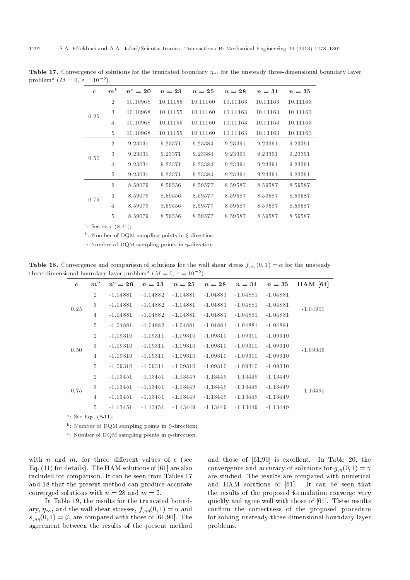| $m^{\rm b}$<br>$n^{\rm c}=20$<br>$n = 23$<br>$n=25$<br>$n=28$<br>$n=31$<br>$n=35$<br>$\mathfrak{c}$<br>$\overline{2}$<br>10.10968<br>10.11155<br>10.11160<br>10.11163<br>10.11163<br>10.11163<br>3<br>10.10968<br>10.11155<br>10.11160<br>10.11163<br>10.11163<br>10.11163<br>0.25<br>10.10968<br>10.11155<br>10.11160<br>10.11163<br>10.11163<br>10.11163<br>$\overline{4}$<br>5<br>10.10968<br>10.11163<br>10.11155<br>10.11160<br>10.11163<br>10.11163<br>$\overline{2}$<br>9.23031<br>9.23371<br>9.23384<br>9.23391<br>9.23391<br>9.23391<br>3<br>9.23371<br>9.23391<br>9.23391<br>9.23391<br>9.23031<br>9.23384<br>0.50<br>9.23031<br>9.23371<br>9.23384<br>9.23391<br>9.23391<br>9.23391<br>$\overline{4}$<br>$\overline{5}$<br>9.23031<br>9.23371<br>9.23384<br>9.23391<br>9.23391<br>9.23391<br>$\overline{2}$<br>8.59079<br>8.59587<br>8.59556<br>8.59577<br>8.59587<br>8.59587<br>3<br>8.59079<br>8.59556<br>8.59577<br>8.59587<br>8.59587<br>8.59587<br>0.75<br>8.59577<br>8.59587<br>8.59587<br>8.59587<br>8.59079<br>8.59556<br>$\overline{4}$<br>5<br>8.59079<br>8.59556<br>8.59587<br>8.59577<br>8.59587<br>8.59587 |  |  |  |  |
|------------------------------------------------------------------------------------------------------------------------------------------------------------------------------------------------------------------------------------------------------------------------------------------------------------------------------------------------------------------------------------------------------------------------------------------------------------------------------------------------------------------------------------------------------------------------------------------------------------------------------------------------------------------------------------------------------------------------------------------------------------------------------------------------------------------------------------------------------------------------------------------------------------------------------------------------------------------------------------------------------------------------------------------------------------------------------------------------------------------------------------|--|--|--|--|
|                                                                                                                                                                                                                                                                                                                                                                                                                                                                                                                                                                                                                                                                                                                                                                                                                                                                                                                                                                                                                                                                                                                                    |  |  |  |  |
|                                                                                                                                                                                                                                                                                                                                                                                                                                                                                                                                                                                                                                                                                                                                                                                                                                                                                                                                                                                                                                                                                                                                    |  |  |  |  |
|                                                                                                                                                                                                                                                                                                                                                                                                                                                                                                                                                                                                                                                                                                                                                                                                                                                                                                                                                                                                                                                                                                                                    |  |  |  |  |
|                                                                                                                                                                                                                                                                                                                                                                                                                                                                                                                                                                                                                                                                                                                                                                                                                                                                                                                                                                                                                                                                                                                                    |  |  |  |  |
|                                                                                                                                                                                                                                                                                                                                                                                                                                                                                                                                                                                                                                                                                                                                                                                                                                                                                                                                                                                                                                                                                                                                    |  |  |  |  |
|                                                                                                                                                                                                                                                                                                                                                                                                                                                                                                                                                                                                                                                                                                                                                                                                                                                                                                                                                                                                                                                                                                                                    |  |  |  |  |
|                                                                                                                                                                                                                                                                                                                                                                                                                                                                                                                                                                                                                                                                                                                                                                                                                                                                                                                                                                                                                                                                                                                                    |  |  |  |  |
|                                                                                                                                                                                                                                                                                                                                                                                                                                                                                                                                                                                                                                                                                                                                                                                                                                                                                                                                                                                                                                                                                                                                    |  |  |  |  |
|                                                                                                                                                                                                                                                                                                                                                                                                                                                                                                                                                                                                                                                                                                                                                                                                                                                                                                                                                                                                                                                                                                                                    |  |  |  |  |
|                                                                                                                                                                                                                                                                                                                                                                                                                                                                                                                                                                                                                                                                                                                                                                                                                                                                                                                                                                                                                                                                                                                                    |  |  |  |  |
|                                                                                                                                                                                                                                                                                                                                                                                                                                                                                                                                                                                                                                                                                                                                                                                                                                                                                                                                                                                                                                                                                                                                    |  |  |  |  |
|                                                                                                                                                                                                                                                                                                                                                                                                                                                                                                                                                                                                                                                                                                                                                                                                                                                                                                                                                                                                                                                                                                                                    |  |  |  |  |
|                                                                                                                                                                                                                                                                                                                                                                                                                                                                                                                                                                                                                                                                                                                                                                                                                                                                                                                                                                                                                                                                                                                                    |  |  |  |  |

Table 17. Convergence of solutions for the truncated boundary  $\eta_{\infty}$  for the unsteady three-dimensional boundary layer problem<sup>a</sup>  $(M = 0, \varepsilon = 10^{-5}).$ 

<sup>a</sup>: See Eqs. (8-11);

 $<sup>b</sup>$ : Number of DQM sampling points in  $\xi$ -direction;</sup>

<sup>c</sup>: Number of DQM sampling points in  $\eta$ -direction.

**Table 18.** Convergence and comparison of solutions for the wall shear stress  $f_{,\eta\eta}(0,1) = \alpha$  for the unsteady three-dimensional boundary layer problem<sup>a</sup> ( $M = 0, \ \varepsilon = 10^{-5}$ ).

| $\mathbf{c}$ | $m^{\rm b}$    | $n^{\rm c}=20$ | $n=23$     | $n=25$     | $n=28$     | $n=31$     | $n=35$     | $HAM$ [61] |
|--------------|----------------|----------------|------------|------------|------------|------------|------------|------------|
|              | $\overline{2}$ | $-1.04881$     | $-1.04882$ | $-1.04881$ | $-1.04881$ | $-1.04881$ | $-1.04881$ |            |
| 0.25         | 3              | $-1.04881$     | $-1.04882$ | $-1.04881$ | $-1.04881$ | $-1.04881$ | $-1.04881$ | $-1.04901$ |
|              | 4              | $-1.04881$     | $-1.04882$ | $-1.04881$ | $-1.04881$ | $-1.04881$ | $-1.04881$ |            |
|              | 5              | $-1.04881$     | $-1.04882$ | $-1.04881$ | $-1.04881$ | $-1.04881$ | $-1.04881$ |            |
|              | $\overline{2}$ | $-1.09310$     | $-1.09311$ | $-1.09310$ | $-1.09310$ | $-1.09310$ | $-1.09310$ |            |
| 0.50         | 3              | $-1.09310$     | $-1.09311$ | $-1.09310$ | $-1.09310$ | $-1.09310$ | $-1.09310$ | $-1.09346$ |
|              | 4              | $-1.09310$     | $-1.09311$ | $-1.09310$ | $-1.09310$ | $-1.09310$ | $-1.09310$ |            |
|              | $5^{\circ}$    | $-1.09310$     | $-1.09311$ | $-1.09310$ | $-1.09310$ | $-1.09310$ | $-1.09310$ |            |
|              | $\overline{2}$ | $-1.13451$     | $-1.13451$ | $-1.13449$ | $-1.13449$ | $-1.13449$ | $-1.13449$ |            |
| 0.75         | 3              | $-1.13451$     | $-1.13451$ | $-1.13449$ | $-1.13449$ | $-1.13449$ | $-1.13449$ | $-1.13491$ |
|              | 4              | $-1.13451$     | $-1.13451$ | $-1.13449$ | $-1.13449$ | $-1.13449$ | $-1.13449$ |            |
|              | 5              | $-1.13451$     | $-1.13451$ | $-1.13449$ | $-1.13449$ | $-1.13449$ | $-1.13449$ |            |

<sup>a</sup>: See Eqs. (8-11);

 $<sup>b</sup>$ : Number of DQM sampling points in  $\xi$ -direction;</sup>

<sup>c</sup>: Number of DQM sampling points in  $\eta$ -direction.

with n and m, for three different values of  $c$  (see Eq. (11) for details). The HAM solutions of [61] are also included for comparison. It can be seen from Tables 17 and 18 that the present method can produce accurate converged solutions with  $n = 28$  and  $m = 2$ .

In Table 19, the results for the truncated boundary,  $\eta_{\infty}$ , and the wall shear stresses,  $f_{nn}(0, 1) = \alpha$  and  $s_{nn}(0,1) = \beta$ , are compared with those of [61,90]. The agreement between the results of the present method and those of [61,90] is excellent. In Table 20, the convergence and accuracy of solutions for  $g_{,\eta}(0,1) = \gamma$ are studied. The results are compared with numerical and HAM solutions of [61]. It can be seen that the results of the proposed formulation converge very quickly and agree well with those of [61]. These results confirm the correctness of the proposed procedure for solving unsteady three-dimensional boundary layer problems.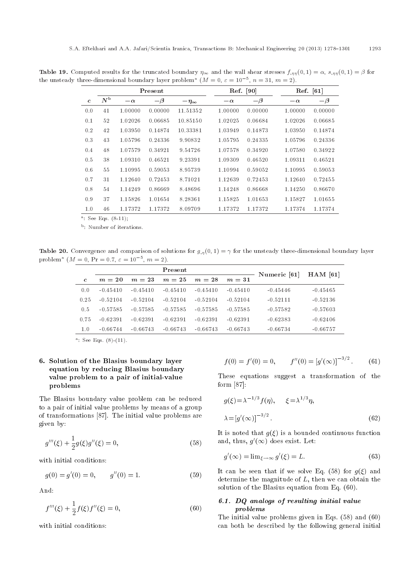**Table 19.** Computed results for the truncated boundary  $\eta_{\infty}$  and the wall shear stresses  $f_{\eta\eta}(0,1) = \alpha$ ,  $s_{\eta\eta}(0,1) = \beta$  for the unsteady three-dimensional boundary layer problem<sup>a</sup> ( $M = 0$ ,  $\varepsilon = 10^{-5}$ ,  $n = 31$ ,  $m = 2$ ).

|              |             |           | Present  |                  |           | Ref. [90] | $\operatorname{Ref.} \left[ 61 \right]$ |          |
|--------------|-------------|-----------|----------|------------------|-----------|-----------|-----------------------------------------|----------|
| $\mathbf{c}$ | $N^{\rm b}$ | $-\alpha$ | $-\beta$ | $-\eta_{\infty}$ | $-\alpha$ | $-\beta$  | $-\alpha$                               | $-\beta$ |
| 0.0          | 41          | 1.00000   | 0.00000  | 11.51352         | 1.00000   | 0.00000   | 1.00000                                 | 0.00000  |
| 0.1          | 52          | 1.02026   | 0.06685  | 10.85150         | 1.02025   | 0.06684   | 1.02026                                 | 0.06685  |
| 0.2          | 42          | 1.03950   | 0.14874  | 10.33381         | 1.03949   | 0.14873   | 1.03950                                 | 0.14874  |
| 0.3          | 43          | 1.05796   | 0.24336  | 9.90832          | 1.05795   | 0.24335   | 1.05796                                 | 0.24336  |
| 0.4          | 48          | 1.07579   | 0.34921  | 9.54726          | 1.07578   | 0.34920   | 1.07580                                 | 0.34922  |
| 0.5          | 38          | 1.09310   | 0.46521  | 9.23391          | 1.09309   | 0.46520   | 1.09311                                 | 0.46521  |
| 0.6          | 55          | 1.10995   | 0.59053  | 8.95739          | 1.10994   | 0.59052   | 1.10995                                 | 0.59053  |
| 0.7          | 31          | 1.12640   | 0.72453  | 8.71021          | 1.12639   | 0.72453   | 1.12640                                 | 0.72455  |
| 0.8          | 54          | 1.14249   | 0.86669  | 8.48696          | 1.14248   | 0.86668   | 1.14250                                 | 0.86670  |
| 0.9          | 37          | 1.15826   | 1.01654  | 8.28361          | 1.15825   | 1.01653   | 1.15827                                 | 1.01655  |
| 1.0          | 46          | 1.17372   | 1.17372  | 8.09709          | 1.17372   | 1.17372   | 1.17374                                 | 1.17374  |

<sup>a</sup>: See Eqs. (8-11);

<sup>b</sup>: Number of iterations.

**Table 20.** Convergence and comparison of solutions for  $g_{,n}(0,1) = \gamma$  for the unsteady three-dimensional boundary layer problem<sup>a</sup>  $(M = 0, \Pr = 0.7, \varepsilon = 10^{-5}, m = 2).$ 

|              |            |            | Numeric [61] | $HAM$ [61] |            |            |            |
|--------------|------------|------------|--------------|------------|------------|------------|------------|
| $\mathbf{c}$ | $m=20$     | $m=23$     | $m=25$       | $m=28$     | $m=31$     |            |            |
| 0.0          | $-0.45410$ | $-0.45410$ | $-0.45410$   | $-0.45410$ | $-0.45410$ | $-0.45446$ | $-0.45465$ |
| 0.25         | $-0.52104$ | $-0.52104$ | $-0.52104$   | $-0.52104$ | $-0.52104$ | $-0.52111$ | $-0.52136$ |
| 0.5          | $-0.57585$ | $-0.57585$ | $-0.57585$   | $-0.57585$ | $-0.57585$ | $-0.57582$ | $-0.57603$ |
| 0.75         | $-0.62391$ | $-0.62391$ | $-0.62391$   | $-0.62391$ | $-0.62391$ | $-0.62383$ | $-0.62406$ |
| 1.0          | $-0.66744$ | $-0.66743$ | $-0.66743$   | $-0.66743$ | $-0.66743$ | $-0.66734$ | $-0.66757$ |
|              |            |            |              |            |            |            |            |

<sup>a</sup>: See Eqs.  $(8)$ - $(11)$ .

## 6. Solution of the Blasius boundary layer equation by reducing Blasius boundary value problem to a pair of initial-value problems

The Blasius boundary value problem can be reduced to a pair of initial value problems by means of a group of transformations [87]. The initial value problems are given by:

$$
g'''(\xi) + \frac{1}{2}g(\xi)g''(\xi) = 0,
$$
\n(58)

with initial conditions:

$$
g(0) = g'(0) = 0, \qquad g''(0) = 1. \tag{59}
$$

And:

$$
f'''(\xi) + \frac{1}{2}f(\xi)f''(\xi) = 0,
$$
\n(60)

with initial conditions:

$$
f(0) = f'(0) = 0, \qquad f''(0) = [g'(\infty)]^{-3/2}.
$$
 (61)

These equations suggest a transformation of the form  $[87]$ :

$$
g(\xi) = \lambda^{-1/3} f(\eta), \qquad \xi = \lambda^{1/3} \eta,
$$
  

$$
\lambda = [g'(\infty)]^{-3/2}.
$$
 (62)

It is noted that  $g(\xi)$  is a bounded continuous function and, thus,  $g'(\infty)$  does exist. Let:

$$
g'(\infty) = \lim_{\xi \to \infty} g'(\xi) = L. \tag{63}
$$

It can be seen that if we solve Eq. (58) for  $g(\xi)$  and determine the magnitude of  $L$ , then we can obtain the solution of the Blasius equation from Eq. (60).

## 6.1. DQ analogs of resulting initial value problems

The initial value problems given in Eqs. (58) and (60) can both be described by the following general initial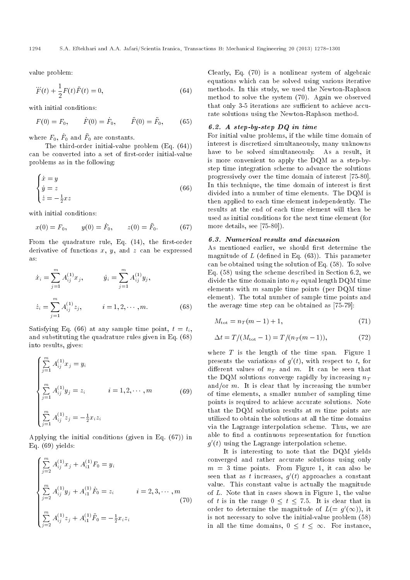value problem:

$$
\dddot{F}(t) + \frac{1}{2}F(t)\ddot{F}(t) = 0,
$$
\n(64)

with initial conditions:

$$
F(0) = F_0,
$$
  $\dot{F}(0) = \dot{F}_0,$   $\ddot{F}(0) = \ddot{F}_0,$  (65)

where  $F_0$ ,  $\dot{F}_0$  and  $\ddot{F}_0$  are constants.

The third-order initial-value problem (Eq. (64)) can be converted into a set of first-order initial-value problems as in the following:

$$
\begin{cases}\n\dot{x} = y \\
\dot{y} = z \\
\dot{z} = -\frac{1}{2}xz\n\end{cases}
$$
\n(66)

with initial conditions:

$$
x(0) = F_0, \t y(0) = \dot{F}_0, \t z(0) = \ddot{F}_0.
$$
 (67)

From the quadrature rule, Eq.  $(14)$ , the first-order derivative of functions  $x, y$ , and  $z$  can be expressed as:

$$
\dot{x}_i = \sum_{j=1}^m A_{ij}^{(1)} x_j, \qquad \dot{y}_i = \sum_{j=1}^m A_{ij}^{(1)} y_j,
$$
  

$$
\dot{z}_i = \sum_{j=1}^m A_{ij}^{(1)} z_j, \qquad i = 1, 2, \cdots, m.
$$
 (68)

Satisfying Eq. (66) at any sample time point,  $t = t_i$ , and substituting the quadrature rules given in Eq. (68) into results, gives:

$$
\begin{cases}\n\sum_{j=1}^{m} A_{ij}^{(1)} x_j = y_i \\
\sum_{j=1}^{m} A_{ij}^{(1)} y_j = z_i & i = 1, 2, \cdots, m \\
\sum_{j=1}^{m} A_{ij}^{(1)} z_j = -\frac{1}{2} x_i z_i\n\end{cases}
$$
\n(69)

Applying the initial conditions (given in Eq. (67)) in Eq. (69) yields:

$$
\begin{cases}\n\sum_{j=2}^{m} A_{ij}^{(1)} x_j + A_{i1}^{(1)} F_0 = y_i \\
\sum_{j=2}^{m} A_{ij}^{(1)} y_j + A_{i1}^{(1)} \dot{F}_0 = z_i \qquad i = 2, 3, \cdots, m \\
\sum_{j=2}^{m} A_{ij}^{(1)} z_j + A_{i1}^{(1)} \ddot{F}_0 = -\frac{1}{2} x_i z_i\n\end{cases}
$$
\n(70)

Clearly, Eq. (70) is a nonlinear system of algebraic equations which can be solved using various iterative methods. In this study, we used the Newton-Raphson method to solve the system (70). Again we observed that only 3-5 iterations are sufficient to achieve accurate solutions using the Newton-Raphson method.

### 6.2. A step-by-step DQ in time

For initial value problems, if the while time domain of interest is discretized simultaneously, many unknowns have to be solved simultaneously. As a result, it is more convenient to apply the DQM as a step-bystep time integration scheme to advance the solutions progressively over the time domain of interest [75-80]. In this technique, the time domain of interest is first divided into a number of time elements. The DQM is then applied to each time element independently. The results at the end of each time element will then be used as initial conditions for the next time element (for more details, see [75-80]).

#### 6.3. Numerical results and discussion

As mentioned earlier, we should first determine the magnitude of  $L$  (defined in Eq. (63)). This parameter can be obtained using the solution of Eq. (58). To solve Eq. (58) using the scheme described in Section 6.2, we divide the time domain into  $n_T$  equal length DQM time elements with  $m$  sample time points (per DQM time element). The total number of sample time points and the average time step can be obtained as [75-79]:

$$
M_{\text{tot}} = n_T(m-1) + 1,\t\t(71)
$$

$$
\Delta t = T/(M_{\text{tot}} - 1) = T/(n_T(m - 1)), \tag{72}
$$

where  $T$  is the length of the time span. Figure 1 presents the variations of  $g'(t)$ , with respect to t, for different values of  $n_T$  and m. It can be seen that the DQM solutions converge rapidly by increasing  $n_T$ and/or  $m$ . It is clear that by increasing the number of time elements, a smaller number of sampling time points is required to achieve accurate solutions. Note that the DQM solution results at  $m$  time points are utilized to obtain the solutions at all the time domains via the Lagrange interpolation scheme. Thus, we are able to find a continuous representation for function  $g'(t)$  using the Lagrange interpolation scheme.

It is interesting to note that the DQM yields converged and rather accurate solutions using only  $m = 3$  time points. From Figure 1, it can also be seen that as t increases,  $g'(t)$  approaches a constant value. This constant value is actually the magnitude of L. Note that in cases shown in Figure 1, the value of t is in the range  $0 \le t \le 7.5$ . It is clear that in order to determine the magnitude of  $L(= g'(\infty))$ , it is not necessary to solve the initial-value problem (58) in all the time domains,  $0 \leq t \leq \infty$ . For instance,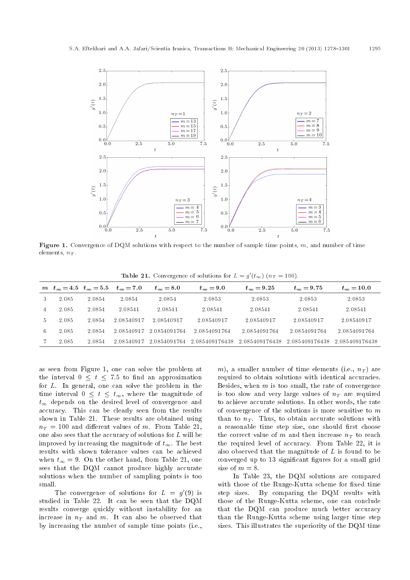

**Figure 1.** Convergence of DQM solutions with respect to the number of sample time points,  $m$ , and number of time elements,  $n_T$ .

| <b>Table 21.</b> Convergence of solutions for $L = g'(t_{\infty})$ $(n_T = 100)$ . |  |
|------------------------------------------------------------------------------------|--|
|------------------------------------------------------------------------------------|--|

|               |       |        | $m \t t_{\infty} = 4.5 \t t_{\infty} = 5.5 \t t_{\infty} = 7.0$ | $t_{\infty} = 8.0$ | $t_{\infty} = 9.0$ | $t_{\infty} = 9.25$ | $t_{\infty} = 9.75$ | $t_{\infty} = 10.0$ |
|---------------|-------|--------|-----------------------------------------------------------------|--------------------|--------------------|---------------------|---------------------|---------------------|
| 3             | 2.085 | 2.0854 | 2.0854                                                          | 2.0854             | 2.0853             | 2.0853              | 2.0853              | 2.0853              |
| 4             | 2.085 | 2.0854 | 2.08541                                                         | 2.08541            | 2.08541            | 2.08541             | 2.08541             | 2.08541             |
| $\mathcal{D}$ | 2.085 | 2.0854 | 2.08540917                                                      | 2.08540917         | 2.08540917         | 2.08540917          | 2.08540917          | 2.08540917          |
| 6.            | 2.085 | 2.0854 | 2.08540917                                                      | 2.0854091764       | 2.0854091764       | 2.0854091764        | 2.0854091764        | 2.0854091764        |
|               | 2.085 | 2.0854 | 2 08540917                                                      | 2.0854091764       | 2.085409176438     | 2.085409176438      | 2.085409176438      | 2.085409176438      |

as seen from Figure 1, one can solve the problem at the interval  $0 \leq t \leq 7.5$  to find an approximation for L. In general, one can solve the problem in the time interval  $0 \leq t \leq t_{\infty}$ , where the magnitude of  $t_{\infty}$  depends on the desired level of convergence and accuracy. This can be clearly seen from the results shown in Table 21. These results are obtained using  $n_T = 100$  and different values of m. From Table 21, one also sees that the accuracy of solutions for L will be improved by increasing the magnitude of  $t_{\infty}$ . The best results with shown tolerance values can be achieved when  $t_{\infty} = 9$ . On the other hand, from Table 21, one sees that the DQM cannot produce highly accurate solutions when the number of sampling points is too small.

The convergence of solutions for  $L = g'(9)$  is studied in Table 22. It can be seen that the DQM results converge quickly without instability for an increase in  $n_T$  and m. It can also be observed that by increasing the number of sample time points (i.e., m), a smaller number of time elements (i.e.,  $n_T$ ) are required to obtain solutions with identical accuracies. Besides, when  $m$  is too small, the rate of convergence is too slow and very large values of  $n<sub>T</sub>$  are required to achieve accurate solutions. In other words, the rate of convergence of the solutions is more sensitive to  $m$ than to  $n_T$ . Thus, to obtain accurate solutions with a reasonable time step size, one should first choose the correct value of m and then increase  $n_T$  to reach the required level of accuracy. From Table 22, it is also observed that the magnitude of L is found to be converged up to 13 significant figures for a small grid size of  $m = 8$ .

In Table 23, the DQM solutions are compared with those of the Runge-Kutta scheme for fixed time step sizes. By comparing the DQM results with those of the Runge-Kutta scheme, one can conclude that the DQM can produce much better accuracy than the Runge-Kutta scheme using larger time step sizes. This illustrates the superiority of the DQM time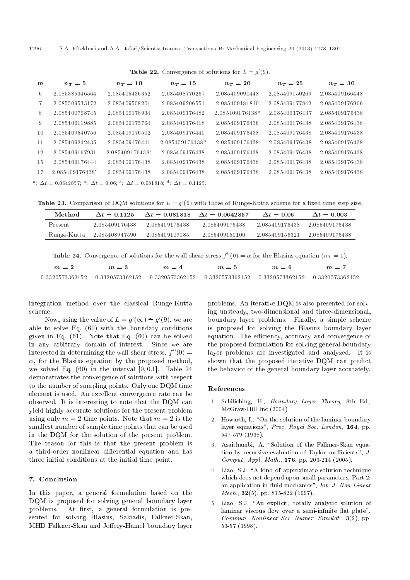| $\boldsymbol{m}$ | $n_T=5$                     | $n_T=10$                    | $n_T=15$                    | $n_T=20$                    | $n_T=25$       | $n_T=30$       |
|------------------|-----------------------------|-----------------------------|-----------------------------|-----------------------------|----------------|----------------|
| 6                | 2.085385346564              | 2.085405436352              | 2.085408770267              | 2.085409090448              | 2.085409150269 | 2.085409166448 |
|                  | 2.085509533172              | 2.085409508201              | 2.085409206551              | 2.085409181810              | 2.085409177842 | 2.085409176906 |
| 8                | 2.085400798745              | 2.085409178934              | 2.085409176482              | 2.085409176438 <sup>a</sup> | 2.085409176437 | 2.085409176438 |
| 9                | 2.085406119885              | 2.085409175764              | 2.085409176418              | 2.085409176436              | 2.085409176438 | 2.085409176438 |
| 10               | 2.085409540756              | 2.085409176502              | 2.085409176440              | 2.085409176438              | 2.085409176438 | 2.085409176438 |
| 11               | 2.085409242435              | 2.085409176441              | 2.085409176438 <sup>b</sup> | 2.085409176438              | 2.085409176438 | 2.085409176438 |
| 12               | 2.085409167931              | 2.085409176438 <sup>c</sup> | 2.085409176438              | 2.085409176438              | 2.085409176438 | 2.085409176438 |
| 15               | 2 085409176444              | 2.085409176438              | 2.085409176438              | 2 085409176438              | 2 085409176438 | 2.085409176438 |
| 17               | 2.085409176438 <sup>d</sup> | 2.085409176438              | 2 085409176438              | 2.085409176438              | 2 085409176438 | 2.085409176438 |

**Table 22.** Convergence of solutions for  $L = g'(9)$ .

<sup>a</sup>:  $\Delta t = 0.0642857$ ; <sup>b</sup>:  $\Delta t = 0.06$ ; <sup>c</sup>:  $\Delta t = 0.081818$ ; <sup>d</sup>:  $\Delta t = 0.1125$ .

**Table 23.** Comparison of DQM solutions for  $L = g'(9)$  with those of Runge-Kutta scheme for a fixed time step size.

| Method      | $\Delta t = 0.1125$ | $\Delta t = 0.081818$ | $\Delta t = 0.0642857$ | $\Delta t = 0.06$ | $\Delta t = 0.003$ |
|-------------|---------------------|-----------------------|------------------------|-------------------|--------------------|
| Present     | 2 085409176438      | 2 085409176438        | 2 085409176438         | 2.085409176438    | - 2.085409176438   |
| Runge-Kutta | 2.085408947590      | 2.085409109185        | 2.085409150100         | 2.085409156321    | 2.085409176438     |

**Table 24.** Convergence of solutions for the wall shear stress  $f''(0) = \alpha$  for the Blasius equation  $(nT = 1)$ .

| $m=2$           | $m = 3$                                                                                             | $m = 4$ | $m=5$ | $m=6$ | $m =$ |
|-----------------|-----------------------------------------------------------------------------------------------------|---------|-------|-------|-------|
| 0.3320573362152 | $-$ 0.3320573362152 $-$ 0.3320573362152 $-$ 0.3320573362152 $-$ 0.3320573362152 $-$ 0.3320573362152 |         |       |       |       |

integration method over the classical Runge-Kutta scheme.

Now, using the value of  $L = g'(\infty) \cong g'(9)$ , we are able to solve Eq. (60) with the boundary conditions given in Eq. (61). Note that Eq. (60) can be solved in any arbitrary domain of interest. Since we are interested in determining the wall shear stress,  $f''(0) =$  $\alpha$ , for the Blasius equation by the proposed method, we solved Eq.  $(60)$  in the interval  $[0, 0.1]$ . Table 24 demonstrates the convergence of solutions with respect to the number of sampling points. Only one DQM time element is used. An excellent convergence rate can be observed. It is interesting to note that the DQM can yield highly accurate solutions for the present problem using only  $m = 2$  time points. Note that  $m = 2$  is the smallest number of sample time points that can be used in the DQM for the solution of the present problem. The reason for this is that the present problem is a third-order nonlinear differential equation and has three initial conditions at the initial time point.

## 7. Conclusion

In this paper, a general formulation based on the DQM is proposed for solving general boundary layer problems. At first, a general formulation is presented for solving Blasius, Sakiadis, Falkner-Skan, MHD Falkner-Skan and Jeffery-Hamel boundary layer problems. An iterative DQM is also presented for solving unsteady, two-dimensional and three-dimensional, boundary layer problems. Finally, a simple scheme is proposed for solving the Blasius boundary layer equation. The efficiency, accuracy and convergence of the proposed formulation for solving general boundary layer problems are investigated and analyzed. It is shown that the proposed iterative DQM can predict the behavior of the general boundary layer accurately.

#### References

- 1. Schiliching, H., Boundary Layer Theory, 8th Ed., McGraw-Hill Inc (2004).
- 2. Howarth, L. "On the solution of the laminar boundary layer equations", Proc. Royal Soc. London, 164, pp. 547-579 (1938).
- 3. Asaithambi, A. "Solution of the Falkner-Skan equation by recursive evaluation of Taylor coefficients",  $J$ . Comput. Appl. Math., 176, pp. 203-214 (2005).
- 4. Liao, S.J. \A kind of approximate solution technique which does not depend upon small parameters, Part 2: an application in fluid mechanics", Int. J. Non-Linear Mech., 32(5), pp. 815-822 (1997).
- 5. Liao, S.J. "An explicit, totally analytic solution of laminar viscous flow over a semi-infinite flat plate", Commun. Nonlinear Sci. Numer. Simulat., 3(2), pp. 53-57 (1998).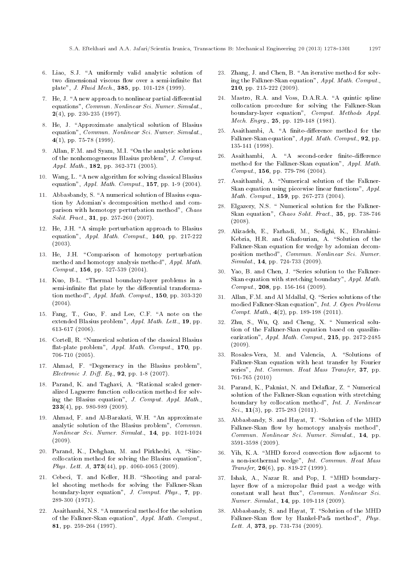- 6. Liao, S.J. \A uniformly valid analytic solution of two dimensional viscous flow over a semi-infinite flat plate", J. Fluid Mech., 385, pp. 101-128 (1999).
- 7. He, J. "A new approach to nonlinear partial differential equations", Commun. Nonlinear Sci. Numer. Simulat.,  $2(4)$ , pp. 230-235 (1997).
- 8. He, J. "Approximate analytical solution of Blasius equation", Commun. Nonlinear Sci. Numer. Simulat., 4(1), pp. 75-78 (1999).
- 9. Allan, F.M. and Syam, M.I. "On the analytic solutions of the nonhomogeneous Blasius problem", J. Comput. Appl. Math., **182**, pp. 362-371 (2005).
- 10. Wang, L. "A new algorithm for solving classical Blasius equation", Appl. Math. Comput., 157, pp. 1-9 (2004).
- 11. Abbasbandy, S. "A numerical solution of Blasius equation by Adomian's decomposition method and comparison with homotopy perturbation method", Chaos Solit. Fract., 31, pp. 257-260 (2007).
- 12. He, J.H. "A simple perturbation approach to Blasius equation", Appl. Math. Comput., 140, pp. 217-222 (2003).
- 13. He, J.H. "Comparison of homotopy perturbation method and homotopy analysis method", Appl. Math. Comput., 156, pp. 527-539 (2004).
- 14. Kuo, B-L. "Thermal boundary-layer problems in a semi-infinite flat plate by the differential transformation method", Appl. Math. Comput., 150, pp. 303-320 (2004).
- 15. Fang, T., Guo, F. and Lee, C.F. \A note on the extended Blasius problem", Appl. Math. Lett., 19, pp. 613-617 (2006).
- 16. Cortell, R. \Numerical solution of the classical Blasius flat-plate problem", Appl. Math. Comput., 170, pp. 706-710 (2005).
- 17. Ahmad, F. "Degeneracy in the Blasius problem", Electronic J. Diff. Eq.,  $92$ , pp. 1-8 (2007).
- 18. Parand, K. and Taghavi, A. "Rational scaled generalized Laguerre function collocation method for solving the Blasius equation", J. Comput. Appl. Math.,  $233(4)$ , pp. 980-989 (2009).
- 19. Ahmad, F. and Al-Barakati, W.H. "An approximate analytic solution of the Blasius problem", Commun. Nonlinear Sci. Numer. Simulat., 14, pp. 1021-1024 (2009).
- 20. Parand, K., Dehghan, M. and Pirkhedri, A. "Sinccollocation method for solving the Blasius equation", Phys. Lett. A, 373(44), pp. 4060-4065 (2009).
- 21. Cebeci, T. and Keller, H.B. "Shooting and parallel shooting methods for solving the Falkner-Skan boundary-layer equation", J. Comput. Phys., 7, pp. 289-300 (1971).
- 22. Asaithambi, N.S. "A numerical method for the solution of the Falkner-Skan equation", Appl. Math. Comput., 81, pp. 259-264 (1997).
- 23. Zhang, J. and Chen, B. "An iterative method for solving the Falkner-Skan equation", Appl. Math. Comput., 210, pp. 215-222 (2009).
- 24. Mastro, R.A. and Voss, D.A.R.A. "A quintic spline collocation procedure for solving the Falkner-Skan boundary-layer equation", Comput. Methods Appl. Mech. Engrg., 25, pp. 129-148 (1981).
- 25. Asaithambi, A. "A finite-difference method for the Falkner-Skan equation", Appl. Math. Comput., 92, pp. 135-141 (1998).
- 26. Asaithambi, A. "A second-order finite-difference method for the Falkner-Skan equation", Appl. Math. Comput., 156, pp. 779-786 (2004).
- 27. Asaithambi, A. "Numerical solution of the Falkner-Skan equation using piecewise linear functions", Appl. Math. Comput., 159, pp. 267-273 (2004).
- 28. Elgazery, N.S. " Numerical solution for the Falkner-Skan equation", Chaos Solit. Fract., 35, pp. 738-746 (2008).
- 29. Alizadeh, E., Farhadi, M., Sedighi, K., Ebrahimi-Kebria, H.R. and Ghafourian, A. "Solution of the Falkner-Skan equation for wedge by adomian decomposition method", Commun. Nonlinear Sci. Numer. Simulat., **14**, pp. 724-733 (2009).
- 30. Yao, B. and Chen, J. "Series solution to the Falkner-Skan equation with stretching boundary", Appl. Math. Comput., 208, pp. 156-164 (2009).
- 31. Allan, F.M. and Al Mdallal, Q. "Series solutions of the modied Falkner-Skan equation", Int. J. Open Problems Compt. Math., 4(2), pp. 189-198 (2011).
- 32. Zhu, S., Wu, Q. and Cheng, X. \ Numerical solution of the Falkner-Skan equation based on quasilinearization", Appl. Math. Comput., 215, pp. 2472-2485 (2009).
- 33. Rosales-Vera, M. and Valencia, A. "Solutions of Falkner-Skan equation with heat transfer by Fourier series", Int. Commun. Heat Mass Transfer, 37, pp. 761-765 (2010)
- 34. Parand, K., Pakniat, N. and Delafkar, Z. \ Numerical solution of the Falkner-Skan equation with stretching boundary by collocation method", Int. J. Nonlinear Sci.,  $11(3)$ , pp. 275-283 (2011).
- 35. Abbasbandy, S. and Hayat, T. "Solution of the MHD Falkner-Skan flow by homotopy analysis method", Commun. Nonlinear Sci. Numer. Simulat., 14, pp. 3591-3598 (2009).
- 36. Yih, K.A. "MHD forced convection flow adjacent to a non-isothermal wedge", Int. Commun. Heat Mass Transfer,  $26(6)$ , pp. 819-27 (1999).
- 37. Ishak, A., Nazar R. and Pop, I. \MHD boundarylayer flow of a micropolar fluid past a wedge with constant wall heat flux", Commun. Nonlinear Sci. Numer. Simulat., 14, pp. 109-118 (2009).
- 38. Abbasbandy, S. and Hayat, T. "Solution of the MHD Falkner-Skan flow by Hankel-Padi method", Phys. Lett. A, 373, pp. 731-734 (2009).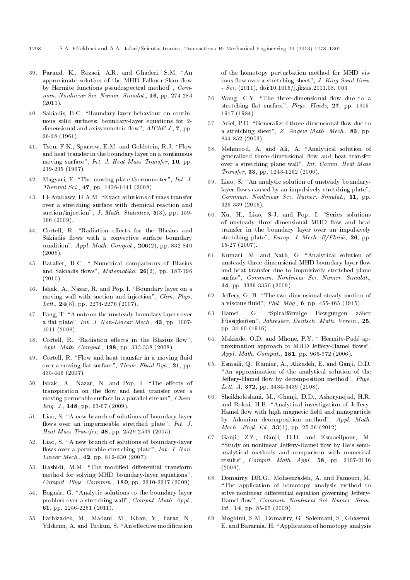- 39. Parand, K., Rezaei, A.R. and Ghaderi, S.M. "An approximate solution of the MHD Falkner-Skan flow by Hermite functions pseudospectral method", Commun. Nonlinear Sci. Numer. Simulat., 16, pp. 274-283  $(2011).$
- 40. Sakiadis, B.C. "Boundary-layer behaviour on continuous solid surfaces; boundary-layer equations for 2 dimensional and axisymmetric flow",  $AIChE$  J., 7, pp. 26-28 (1961).
- 41. Tsou, F.K., Sparrow, E.M. and Goldstein, R.J. "Flow and heat transfer in the boundary layer on a continuous moving surface", Int. J. Heat Mass Transfer, 10, pp. 219-235 (1967).
- 42. Magyari, E. \The moving plate thermometer", Int. J. Thermal Sci., 47, pp. 1436-1441 (2008).
- 43. El-Arabawy, H.A.M. "Exact solutions of mass transfer over a stretching surface with chemical reaction and suction/injection", J. Math. Statistics, 5(3), pp. 159-166 (2009).
- 44. Cortell, R. "Radiation effects for the Blasius and Sakiadis flows with a convective surface boundary condition",  $Appl. Math. Comput.$  206(2), pp. 832-840 (2008).
- 45. Bataller, R.C. \ Numerical comparisons of Blasius and Sakiadis flows",  $\textit{Matematika}$ , 26(2), pp. 187-196  $(2010).$
- 46. Ishak, A., Nazar, R. and Pop, I. "Boundary layer on a moving wall with suction and injection", Chin. Phys. Lett.,  $24(8)$ , pp. 2274-2276 (2007).
- 47. Fang, T. "A note on the unsteady boundary layers over a flat plate", *Int. J. Non-Linear Mech.*, 43, pp. 1007-1011 (2008).
- 48. Cortell, R. "Radiation effects in the Blasius flow", Appl. Math. Comput., 198, pp. 333-338 (2008).
- 49. Cortell, R. "Flow and heat transfer in a moving fluid over a moving flat surface", Theor. Fluid Dyn., 21, pp. 435-446 (2007).
- 50. Ishak, A., Nazar, N. and Pop, I. "The effects of transpiration on the flow and heat transfer over a moving permeable surface in a parallel stream", Chem. Eng. J., 148, pp. 63-67 (2009).
- 51. Liao, S. "A new branch of solutions of boundary-layer flows over an impermeable stretched plate",  $Int. J.$ Heat Mass Transfer, 48, pp. 2529-2539 (2005).
- 52. Liao, S. "A new branch of solutions of boundary-layer flows over a permeable stretching plate", Int. J. Non-Linear Mech., **42**, pp. 819-830 (2007).
- 53. Rashidi, M.M. "The modified differential transform method for solving MHD boundary-layer equations", Comput. Phys. Commun., 180, pp. 2210-2217 (2009).
- 54. Bognár, G. "Analytic solutions to the boundary layer problem over a stretching wall", Comput. Math. Appl., 61, pp. 2256-2261 (2011).
- 55. Fathizadeh, M., Madani, M., Khan, Y., Faraz, N., Yıldırım, A. and Tutkun, S. "An effective modification

of the homotopy perturbation method for MHD viscous flow over a stretching sheet", J. King Saud Univ. - Sci. (2011), doi:10.1016/j.jksus.2011.08. 003

- 56. Wang, C.Y. "The three-dimensional flow due to a stretching flat surface", Phys. Fluids, 27, pp. 1915-1917 (1984).
- 57. Ariel, P.D. "Generalized three-dimensional flow due to a stretching sheet",  $Z.$  Angew Math. Mech., 83, pp. 844-852 (2003).
- 58. Mehmood, A. and Ali, A. "Analytical solution of generalized three-dimensional flow and heat transfer over a stretching plane wall", Int. Comm. Heat Mass Transfer, 33, pp. 1243-1252 (2006).
- 59. Liao, S. "An analytic solution of unsteady boundarylayer flows caused by an impulsively stretching plate", Commun. Nonlinear Sci. Numer. Simulat., 11, pp. 326-339 (2006).
- 60. Xu, H., Liao, S-J. and Pop, I. "Series solutions of unsteady three-dimensional MHD flow and heat transfer in the boundary layer over an impulsively stretching plate",  $European. J. Mech. B/Fluids, 26, pp.$ 15-27 (2007).
- 61. Kumari, M. and Nath, G. "Analytical solution of unsteady three-dimensional MHD boundary layer flow and heat transfer due to impulsively stretched plane surfac", Commun. Nonlinear Sci. Numer. Simulat., 14, pp. 3339-3350 (2009).
- 62. Jeffery, G. B. "The two-dimensional steady motion of a viscous fluid", Phil. Mag., 6, pp. 455-465 (1915).
- 63. Hamel, G. "Spiralförmige Bewgungen zäher Fussigkeiten", Jahresber. Deutsch. Math. Verein., 25, pp. 34-60 (1916).
- 64. Makinde, O.D. and Mhone, P.Y. "Hermite-Padé approximation approach to MHD Jeffery-Hamel flows". Appl. Math. Comput., 181, pp. 966-972 (2006).
- 65. Esmaili, Q., Ramiar, A., Alizadeh, E. and Ganji, D.D. "An approximation of the analytical solution of the Jeffery-Hamel flow by decomposition method", Phys. Lett. A, 372, pp. 3434-3439 (2008).
- 66. Sheikholeslami, M., Ghanji, D.D., Ashorynejad, H.R. and Rokni, H.B. "Analytical investigation of Jeffery-Hamel flow with high magnetic field and nanoparticle by Adomian decomposition method", Appl. Math. Mech. -Engl. Ed., 33(1), pp. 25-36 (2012).
- 67. Ganji, Z.Z., Ganji, D.D. and Esmaeilpour, M. "Study on nonlinear Jeffery-Hamel flow by He's semianalytical methods and comparison with numerical results", Comput. Math. Appl., 58, pp. 2107-2116 (2009).
- 68. Domairry, DR.G., Mohsenzadeh, A. and Famouri, M. "The application of homotopy analysis method to solve nonlinear differential equation governing Jeffery-Hamel flow", Commun. Nonlinear Sci. Numer. Simu $lat., 14, pp. 85-95 (2009).$
- 69. Moghimi, S.M., Domairry, G., Soleimani, S., Ghasemi, E. and Bararnia, H. "Application of homotopy analysis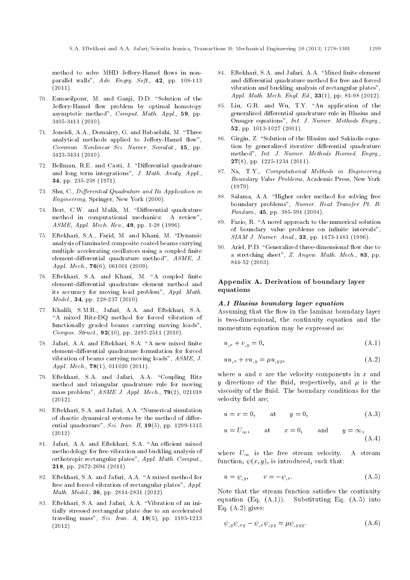method to solve MHD Jeffery-Hamel flows in nonparallel walls", Adv. Engrg. Soft., 42, pp. 108-113  $(2011).$ 

- 70. Esmaeilpour, M. and Ganji, D.D. "Solution of the Jeffery-Hamel flow problem by optimal homotopy asymptotic method", Comput. Math. Appl., 59, pp. 3405-3411 (2010).
- 71. Joneidi, A.A., Domairry, G. and Babaelahi, M. \Three analytical methods applied to Jeffery-Hamel flow", Commun. Nonlinear Sci. Numer. Simulat., 15, pp. 3423-3434 (2010).
- 72. Bellman, R.E. and Casti, J. "Differential quadrature and long term integrations", J. Math. Analy. Appl., 34, pp. 235-238 (1971).
- 73. Shu, C., Differential Quadrature and Its Application in Engineering, Springer, New York (2000).
- 74. Bert, C.W. and Malik, M. "Differential quadrature method in computational mechanics: A review", ASME, Appl. Mech. Rev., 49, pp. 1-28 (1996).
- 75. Eftekhari, S.A., Farid, M. and Khani, M. \Dynamic analysis of laminated composite coated beams carrying multiple accelerating oscillators using a coupled finite element-differential quadrature method",  $ASME$ , J. Appl. Mech.,  $76(6)$ , 061001 (2009).
- 76. Eftekhari, S.A. and Khani, M. "A coupled finite element-differential quadrature element method and its accuracy for moving load problem", Appl. Math. Model., 34, pp. 228-237 (2010).
- 77. Khalili, S.M.R., Jafari, A.A. and Eftekhari, S.A. "A mixed Ritz-DQ method for forced vibration of functionally graded beams carrying moving loads", Compos. Struct.,  $92(10)$ , pp. 2497-2511 (2010).
- 78. Jafari, A.A. and Eftekhari, S.A. "A new mixed finite element-differential quadrature formulation for forced vibration of beams carrying moving loads", ASME, J. Appl. Mech., **78**(1), 011020 (2011).
- 79. Eftekhari, S.A. and Jafari, A.A. \Coupling Ritz method and triangular quadrature rule for moving mass problem",  $ASME$  J. Appl. Mech.,  $79(2)$ , 021018 (2012).
- 80. Eftekhari, S.A. and Jafari, A.A. "Numerical simulation of chaotic dynamical systems by the method of differential quadrature", Sci. Iran. B,  $19(5)$ , pp. 1299-1315 (2012)
- 81. Jafari, A.A. and Eftekhari, S.A. "An efficient mixed methodology for free vibration and buckling analysis of orthotropic rectangular plates", Appl. Math. Comput., 218, pp. 2672-2694 (2011)
- 82. Eftekhari, S.A. and Jafari, A.A. "A mixed method for free and forced vibration of rectangular plates", Appl. Math. Model., 36, pp. 2814-2831 (2012).
- 83. Eftekhari, S.A. and Jafari, A.A. \Vibration of an initially stressed rectangular plate due to an accelerated traveling mass", Sci. Iran. A,  $19(5)$ , pp. 1195-1213 (2012)
- 84. Eftekhari, S.A. and Jafari, A.A. "Mixed finite element and differential quadrature method for free and forced vibration and buckling analysis of rectangular plates", Appl. Math. Mech. Engl. Ed., 33(1), pp. 81-98 (2012).
- 85. Liu, G.R. and Wu, T.Y. "An application of the generalized differential quadrature rule in Blasius and Onsager equations", Int. J. Numer. Methods Engrg., 52, pp. 1013-1027 (2001).
- 86. Girgin, Z. "Solution of the Blasius and Sakiadis equation by generalized iterative differential quadrature method", Int. J. Numer. Methods Biomed. Engrg., 27(8), pp. 1225-1234 (2011).
- 87. Na, T.Y., Computational Methods in Engineering Boundary Value Problems, Academic Press, New York (1979).
- 88. Salama, A.A. "Higher order method for solving free boundary problems", Numer. Heat Transfer Pt. B: Fundam., 45, pp. 385-394 (2004).
- 89. Fazio, R. "A novel approach to the numerical solution of boundary value problems on infinite intervals", SIAM J. Numer. Anal., 33, pp. 1473-1483 (1996).
- 90. Ariel, P.D. "Generalized three-dimensional flow due to a stretching sheet", Z. Angew. Math. Mech., 83, pp. 844-52 (2003).

## Appendix A. Derivation of boundary layer equations

#### A.1 Blasius boundary layer equation

Assuming that the flow in the laminar boundary layer is two-dimensional, the continuity equation and the momentum equation may be expressed as:

$$
u_{,x} + v_{,y} = 0,\t\t(A.1)
$$

$$
uu_{,x} + vu_{,y} = \mu u_{,yy},\tag{A.2}
$$

where  $u$  and  $v$  are the velocity components in  $x$  and y directions of the fluid, respectively, and  $\mu$  is the viscosity of the fluid. The boundary conditions for the velocity field are;

$$
u = v = 0, \qquad \text{at} \qquad y = 0, \tag{A.3}
$$

$$
u = U_{\infty}
$$
, at  $x = 0$ , and  $y = \infty$ ,  
(A.4)

where  $U_{\infty}$  is the free stream velocity. A stream function,  $\psi(x, y)$ , is introduced, such that:

$$
u = \psi_{,y}, \qquad v = -\psi_{,x}.\tag{A.5}
$$

Note that the stream function satisfies the continuity equation (Eq. (A.1)). Substituting Eq. (A.5) into Eq.  $(A.2)$  gives:

$$
\psi_{,y}\psi_{,xy} - \psi_{,x}\psi_{,yy} = \mu\psi_{,yyy}.\tag{A.6}
$$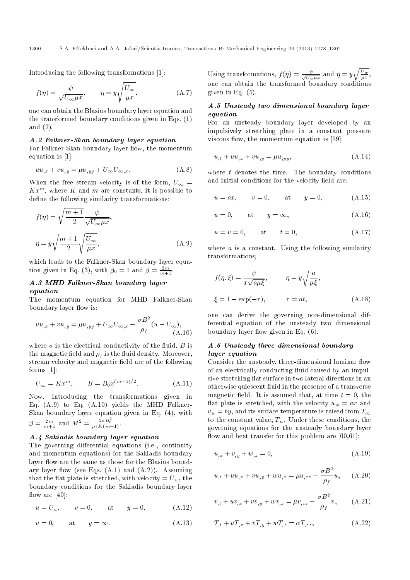Introducing the following transformations [1];

$$
f(\eta) = \frac{\psi}{\sqrt{U_{\infty}\mu x}}, \qquad \eta = y\sqrt{\frac{U_{\infty}}{\mu x}}, \qquad (A.7)
$$

one can obtain the Blasius boundary layer equation and the transformed boundary conditions given in Eqs. (1) and (2).

#### A.2 Falkner-Skan boundary layer equation

For Falkner-Skan boundary layer flow, the momentum equation is [1]:

$$
uu_{,x} + vu_{,y} = \mu u_{,yy} + U_{\infty}U_{\infty,x}.
$$
 (A.8)

When the free stream velocity is of the form,  $U_{\infty} =$  $Kx^m$ , where K and m are constants, it is possible to define the following similarity transformations:

$$
f(\eta) = \sqrt{\frac{m+1}{2}} \frac{\psi}{\sqrt{U_{\infty} \mu x}},
$$
  

$$
\eta = y \sqrt{\frac{m+1}{2}} \sqrt{\frac{U_{\infty}}{\mu x}},
$$
 (A.9)

which leads to the Falkner-Skan boundary layer equation given in Eq. (3), with  $\beta_0 = 1$  and  $\beta = \frac{2m}{m+1}$ .

## A.3 MHD Falkner-Skan boundary layer equation

The momentum equation for MHD Falkner-Skan boundary layer flow is:

$$
uu_{,x} + vu_{,y} = \mu u_{,yy} + U_{\infty}U_{\infty,x} - \frac{\sigma B^2}{\rho_f}(u - U_{\infty}),
$$
\n(A.10)

where  $\sigma$  is the electrical conductivity of the fluid, B is the magnetic field and  $\rho_f$  is the fluid density. Moreover, stream velocity and magnetic field are of the following forms [1]:

$$
U_{\infty} = Kx^{m}, \qquad B = B_0 x^{(m-1)/2}.
$$
 (A.11)

Now, introducing the transformations given in Eq. (A.9) to Eq. (A.10) yields the MHD Falkner-Skan boundary layer equation given in Eq. (4), with  $\beta = \frac{2m}{m+1}$  and  $M^2 = \frac{2\sigma B_0^2}{\rho_f K(m+1)}$ .

#### A.4 Sakiadis boundary layer equation

The governing differential equations (i.e., continuity and momentum equations) for the Sakiadis boundary layer flow are the same as those for the Blasius boundary layer flow (see Eqs.  $(A.1)$  and  $(A.2)$ ). Assuming that the flat plate is stretched, with velocity =  $U_w$ , the boundary conditions for the Sakiadis boundary layer flow are  $[40]$ :

$$
u = U_w
$$
,  $v = 0$ , at  $y = 0$ , (A.12)

$$
u = 0, \qquad \text{at} \qquad y = \infty. \tag{A.13}
$$

Using transformations,  $f(\eta) = \frac{\psi}{\sqrt{U}}$  $\frac{\psi}{U_w \mu x}$  and  $\eta = y \sqrt{\frac{U_w}{\mu x}},$ one can obtain the transformed boundary conditions given in Eq. (5).

## A.5 Unsteady two dimensional boundary layer equation

For an unsteady boundary layer developed by an impulsively stretching plate in a constant pressure viscous flow, the momentum equation is  $[59]$ :

$$
u_{,t} + uu_{,x} + vu_{,y} = \mu u_{,yy}, \tag{A.14}
$$

where  $t$  denotes the time. The boundary conditions and initial conditions for the velocity field are:

$$
u = ax
$$
,  $v = 0$ , at  $y = 0$ , (A.15)

$$
u = 0, \qquad \text{at} \qquad y = \infty, \tag{A.16}
$$

$$
u = v = 0, \qquad \text{at} \qquad t = 0, \tag{A.17}
$$

where  $a$  is a constant. Using the following similarity transformations;

$$
f(\eta, \xi) = \frac{\psi}{x\sqrt{a\mu\xi}}, \qquad \eta = y\sqrt{\frac{a}{\mu\xi}},
$$
  

$$
\xi = 1 - \exp(-\tau), \qquad \tau = at,
$$
 (A.18)

one can derive the governing non-dimensional differential equation of the unsteady two dimensional boundary layer flow given in Eq.  $(6)$ .

#### A.6 Unsteady three dimensional boundary layer equation

Consider the unsteady, three-dimensional laminar flow of an electrically conducting fluid caused by an impulsive stretching flat surface in two lateral directions in an otherwise quiescent fluid in the presence of a transverse magnetic field. It is assumed that, at time  $t = 0$ , the flat plate is stretched, with the velocity  $u_w = ax$  and  $v_w = bv$ , and its surface temperature is raised from  $T_{\infty}$ to the constant value,  $T_w$ . Under these conditions, the governing equations for the unsteady boundary layer flow and heat transfer for this problem are  $[60,61]$ :

$$
u_{,x} + v_{,y} + w_{,z} = 0,\tag{A.19}
$$

$$
u_{,t} + uu_{,x} + vu_{,y} + wu_{,z} = \mu u_{,zz} - \frac{\sigma B^2}{\rho_f}u, \quad (A.20)
$$

$$
v_{,t} + uv_{,x} + vv_{,y} + wv_{,z} = \mu v_{,zz} - \frac{\sigma B^2}{\rho_f} v, \qquad (A.21)
$$

$$
T_{,t} + uT_{,x} + vT_{,y} + wT_{,z} = \alpha T_{,zz},
$$
\n(A.22)